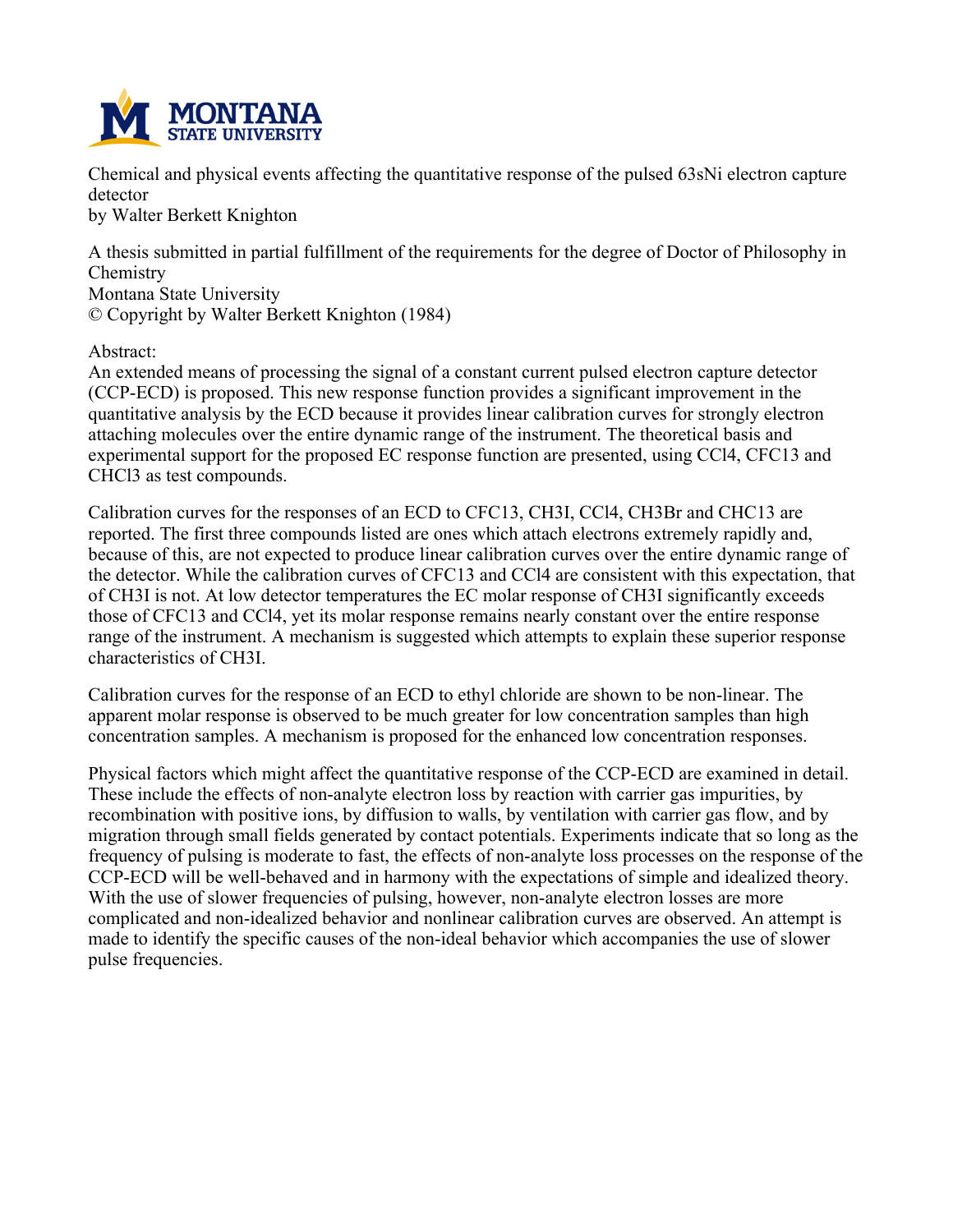

**Chemical and physical events affecting the quantitative response of the pulsed 63sNi electron capture detector**

**by Walter Berkett Knighton**

**A thesis submitted in partial fulfillment of the requirements for the degree of Doctor of Philosophy in Chemistry**

**Montana State University**

**© Copyright by Walter Berkett Knighton (1984)**

**Abstract:**

**An extended means of processing the signal of a constant current pulsed electron capture detector (CCP-ECD) is proposed. This new response function provides a significant improvement in the quantitative analysis by the ECD because it provides linear calibration curves for strongly electron attaching molecules over the entire dynamic range of the instrument. The theoretical basis and experimental support for the proposed EC response function are presented, using CCl4, CFC13 and CHCl3 as test compounds.**

**Calibration curves for the responses of an ECD to CFC13, CH3I, CCl4, CH3Br and CHC13 are reported. The first three compounds listed are ones which attach electrons extremely rapidly and, because of this, are not expected to produce linear calibration curves over the entire dynamic range of the detector. While the calibration curves of CFC13 and CCl4 are consistent with this expectation, that of CH3I is not. At low detector temperatures the EC molar response of CH3I significantly exceeds those of CFC13 and CCl4, yet its molar response remains nearly constant over the entire response range of the instrument. A mechanism is suggested which attempts to explain these superior response characteristics of CH3I.**

**Calibration curves for the response of an ECD to ethyl chloride are shown to be non-linear. The apparent molar response is observed to be much greater for low concentration samples than high concentration samples. A mechanism is proposed for the enhanced low concentration responses.**

**Physical factors which might affect the quantitative response of the CCP-ECD are examined in detail. These include the effects of non-analyte electron loss by reaction with carrier gas impurities, by recombination with positive ions, by diffusion to walls, by ventilation with carrier gas flow, and by migration through small fields generated by contact potentials. Experiments indicate that so long as the** frequency of pulsing is moderate to fast, the effects of non-analyte loss processes on the response of the **CCP-ECD will be well-behaved and in harmony with the expectations of simple and idealized theory. With the use of slower frequencies of pulsing, however, non-analyte electron losses are more complicated and non-idealized behavior and nonlinear calibration curves are observed. An attempt is made to identify the specific causes of the non-ideal behavior which accompanies the use of slower pulse frequencies.**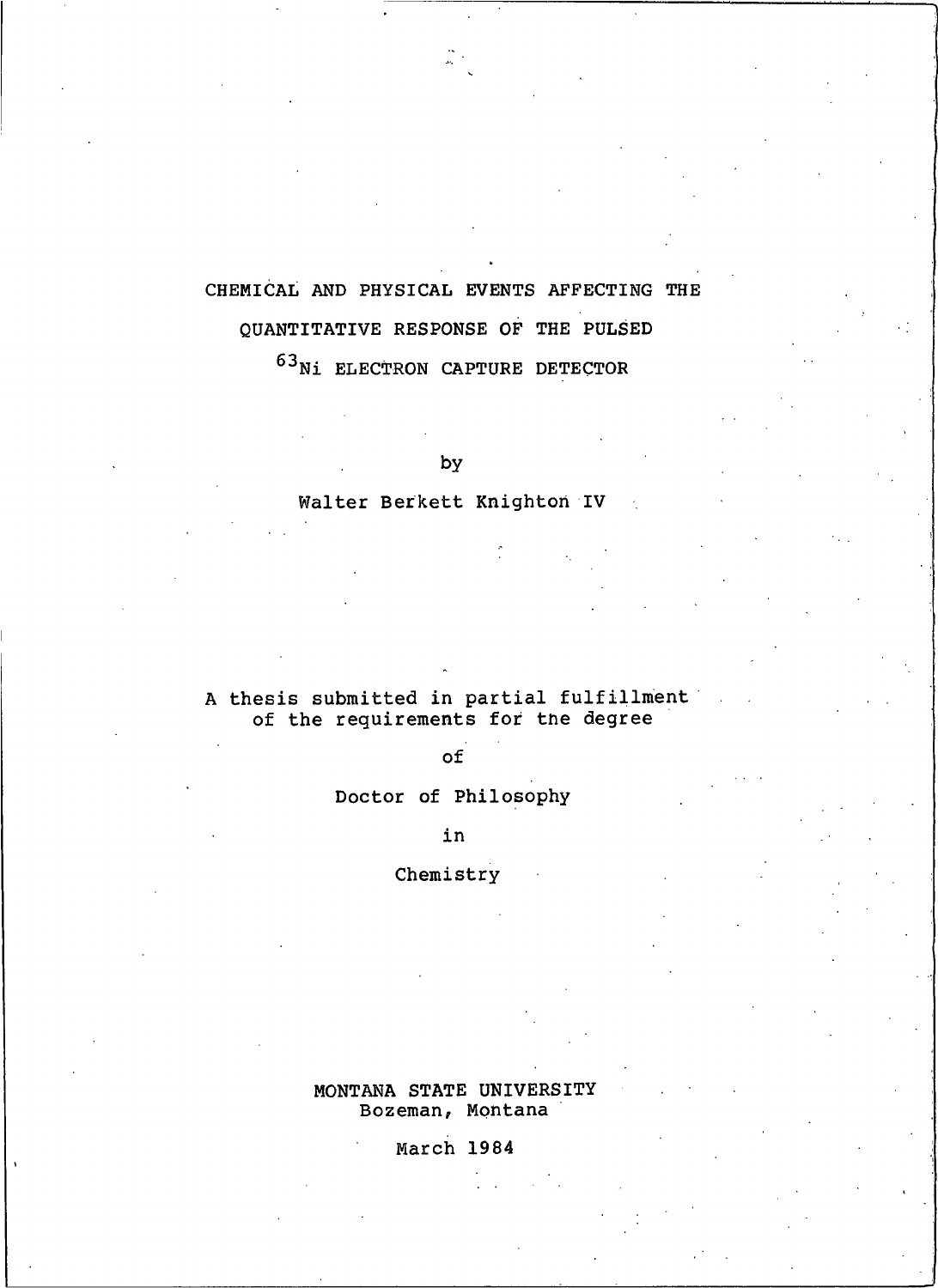# CHEMICAL AND PHYSICAL EVENTS AFFECTING THE QUANTITATIVE RESPONSE OF THE PULSED

 $^{63}{\rm Ni}$  ELECTRON CAPTURE DETECTOR

by

# Walter Berkett Knighton IV

# A thesis submitted in partial fulfillment of the requirements for the degree

# $of$

# Doctor of Philosophy

in

# Chemistry

## MONTANA STATE UNIVERSITY Bozeman, Montana

# March 1984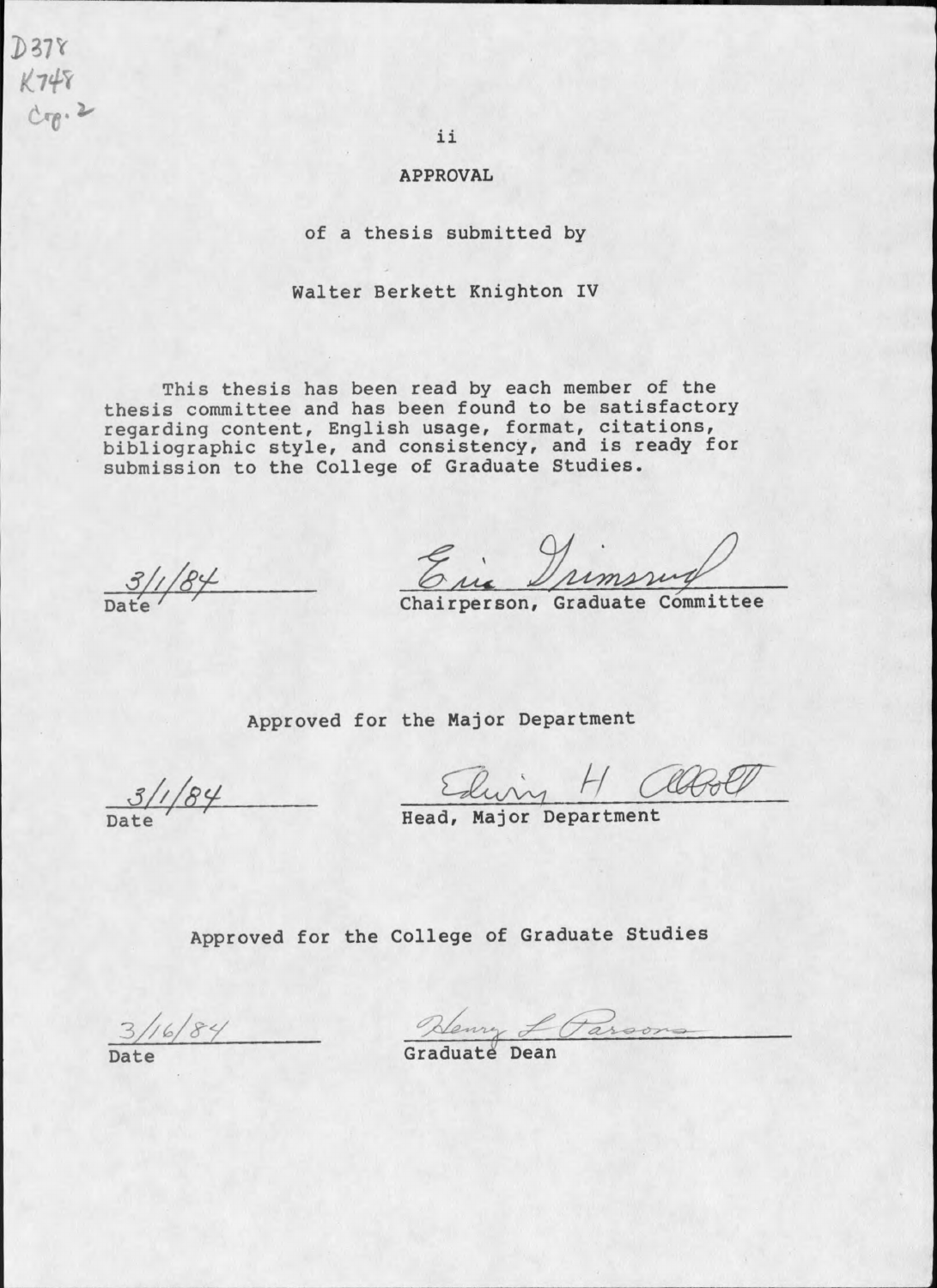$D378$  $K748$  $C_{0}$ . 2

ii

## **APPROVAL**

of a thesis submitted by

Walter Berkett Knighton IV

This thesis has been read by each member of the thesis committee and has been found to be satisfactory regarding content, English usage, format, citations,<br>bibliographic style, and consistency, and is ready for submission to the College of Graduate Studies.

Erie Drimsrug

Approved for the Major Department

 $31/84$ 

 $\frac{31/84}{\text{Date}}$  Tead, Major Department

Approved for the College of Graduate Studies

 $3/16/84$ Date

- Kenry L Parsons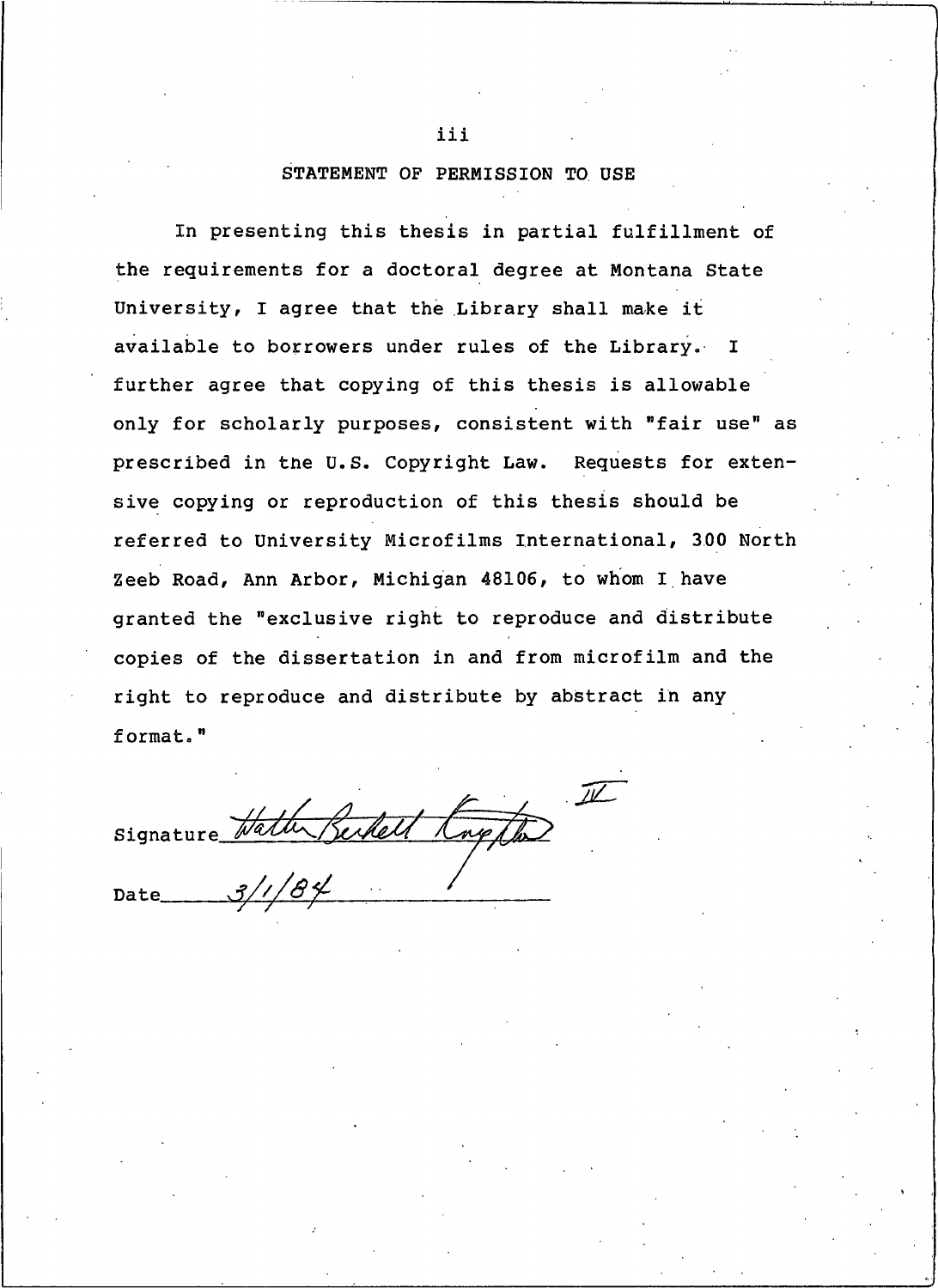## STATEMENT OF PERMISSION TO USE

In presenting this thesis in partial fulfillment of the requirements for a doctoral degree at Montana State University, I agree that the Library shall make it available to borrowers under rules of the Library. I further agree that copying of this thesis is allowable only for scholarly purposes, consistent with "fair use" as prescribed in the U.S. Copyright Law. Requests for extensive copying or reproduction of this thesis should be referred to University Microfilms International, 300 North Zeeb Road, Ann Arbor, Michigan 48106, to whom I have granted the "exclusive right to reproduce and distribute copies of the dissertation in and from microfilm and the right to reproduce and distribute by abstract in any format."

 $\mathbb{Z}$ signature Hath Berkell Kng

iii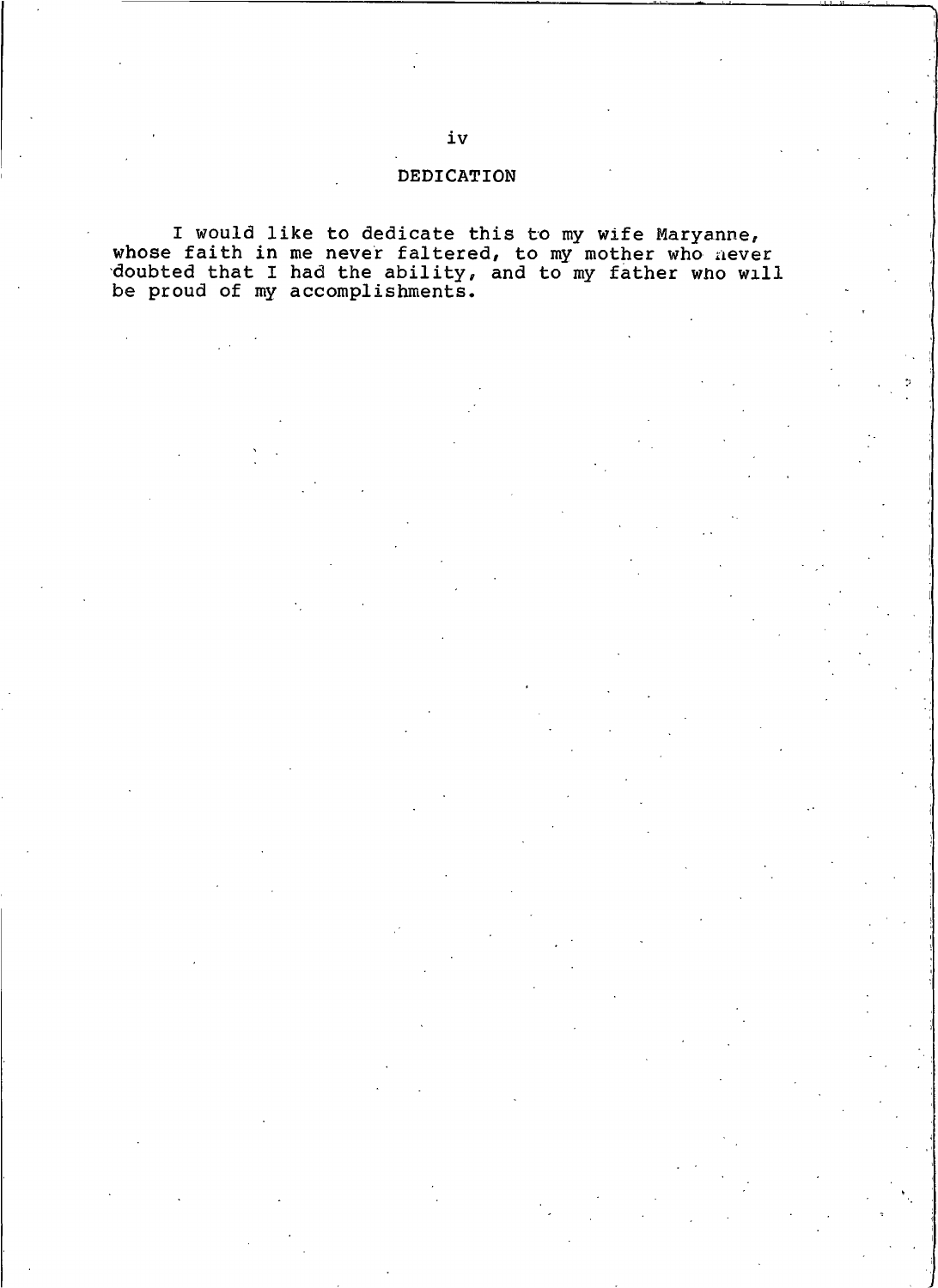## DEDICATION

I would like to dedicate this to my wife Maryanne,<br>whose faith in me never faltered, to my mother who never<br>doubted that I had the ability, and to my father who will<br>be proud of my accomplishments.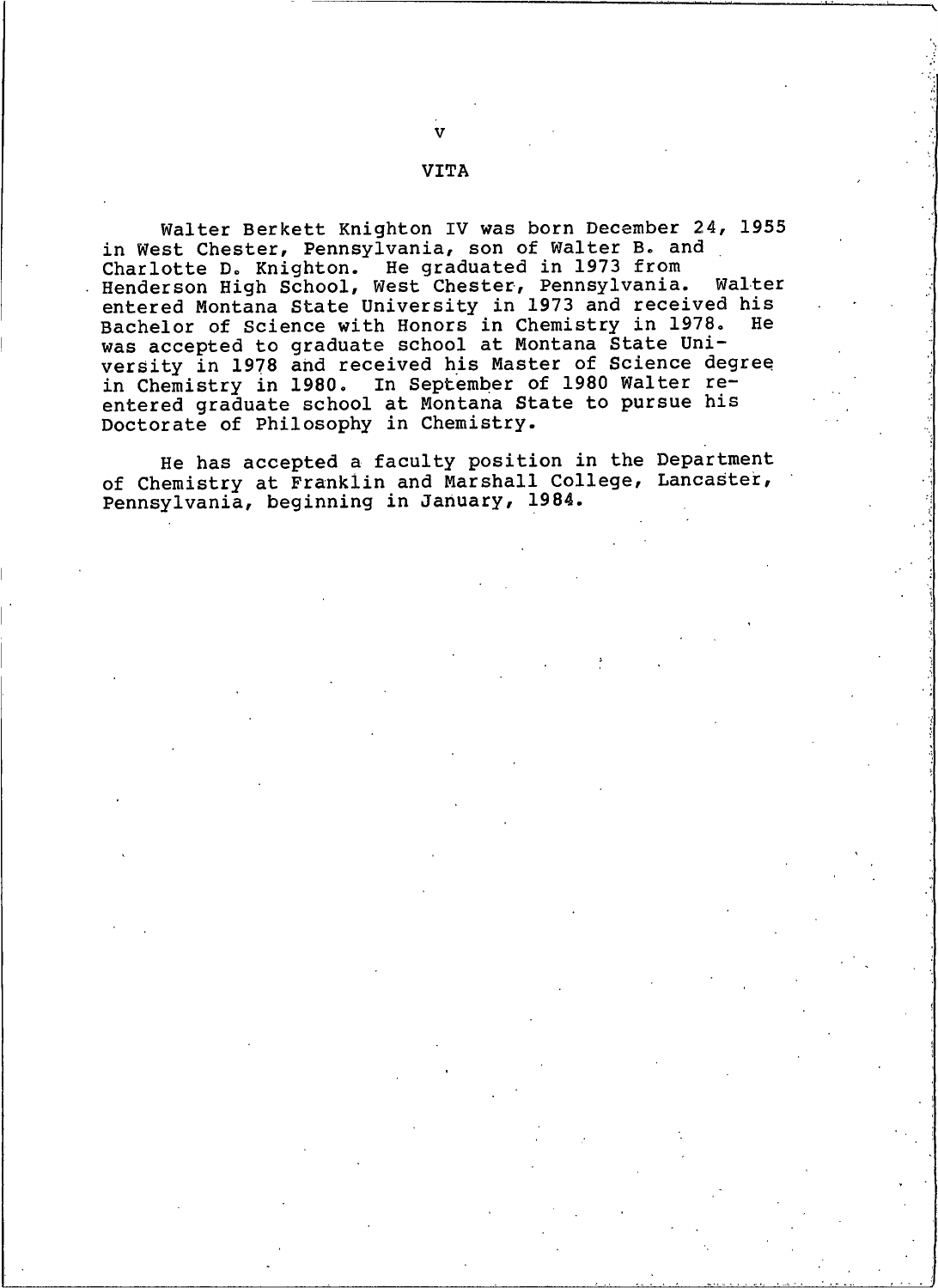## **VITA**

Walter Berkett Knighton IV was born December 24, 1955 in West Chester, Pennsylvania, son of Walter B. and Charlotte D. Knighton. He graduated in 1973 from<br>Henderson High School, West Chester, Pennsylvania. Walter entered Montana State University in 1973 and received his Bachelor of Science with Honors in Chemistry in 1978.<br>was accepted to graduate school at Montana State Uni-He versity in 1978 and received his Master of Science degree in Chemistry in 1980. In September of 1980 Walter reentered graduate school at Montana State to pursue his Doctorate of Philosophy in Chemistry.

He has accepted a faculty position in the Department of Chemistry at Franklin and Marshall College, Lancaster, Pennsylvania, beginning in January, 1984.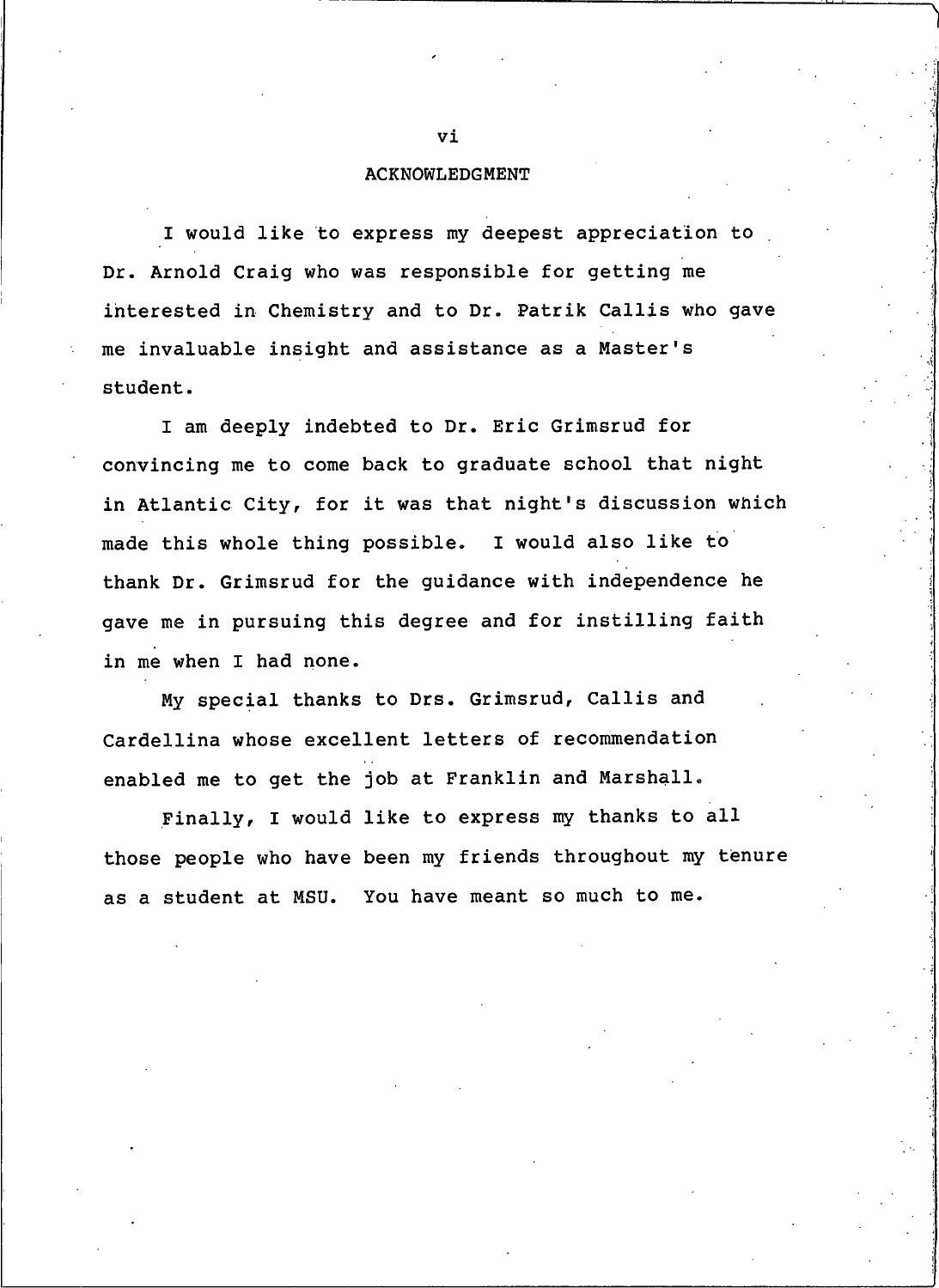## **ACKNOWLEDGMENT**

I would like to express my deepest appreciation to Dr. Arnold Craig who was responsible for getting me interested in Chemistry and to Dr. Patrik Callis who gave me invaluable insight and assistance as a Master's student.

I am deeply indebted to Dr. Eric Grimsrud for convincing me to come back to graduate school that night in Atlantic City, for it was that night's discussion which made this whole thing possible. I would also like to thank Dr. Grimsrud for the guidance with independence he gave me in pursuing this degree and for instilling faith in me when I had none.

My special thanks to Drs. Grimsrud, Callis and Cardellina whose excellent letters of recommendation enabled me to get the job at Franklin and Marshall.

Finally, I would like to express my thanks to all those people who have been my friends throughout my tenure as a student at MSU. You have meant so much to me.

vi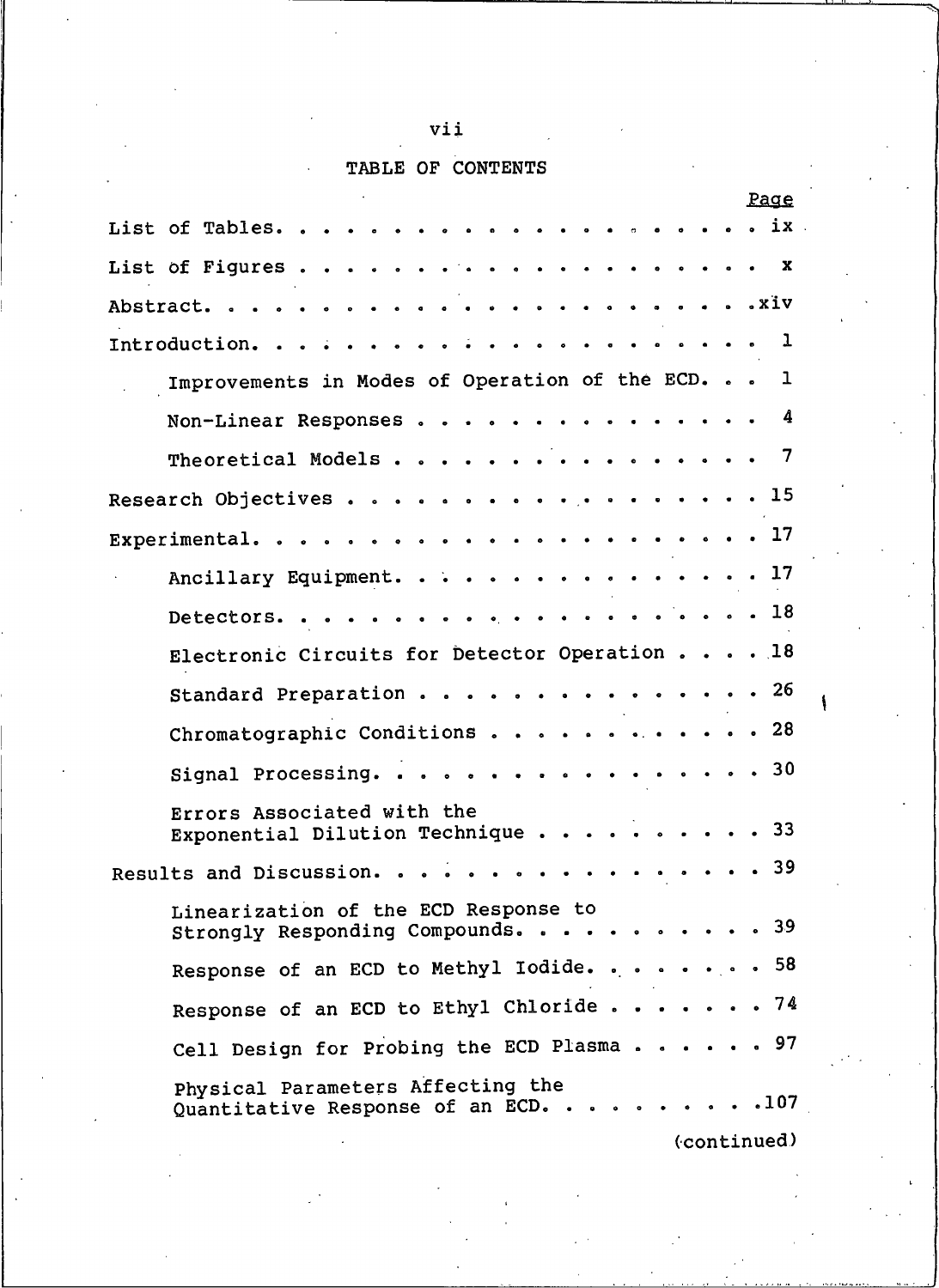# vii

# TABLE OF CONTENTS

|                            |                                                                           |  |  |  |      |  |  |  | <u>Paqe</u>   |
|----------------------------|---------------------------------------------------------------------------|--|--|--|------|--|--|--|---------------|
|                            |                                                                           |  |  |  |      |  |  |  |               |
|                            |                                                                           |  |  |  |      |  |  |  | $\mathbf{x}$  |
|                            |                                                                           |  |  |  |      |  |  |  |               |
|                            |                                                                           |  |  |  |      |  |  |  | $\mathbf 1$   |
|                            | Improvements in Modes of Operation of the ECD. 1                          |  |  |  |      |  |  |  |               |
|                            | Non-Linear Responses                                                      |  |  |  |      |  |  |  | $\frac{4}{3}$ |
|                            | Theoretical Models                                                        |  |  |  | .    |  |  |  | -7            |
| Research Objectives        |                                                                           |  |  |  | . 15 |  |  |  |               |
|                            |                                                                           |  |  |  |      |  |  |  |               |
|                            | Ancillary Equipment. 17                                                   |  |  |  |      |  |  |  |               |
|                            |                                                                           |  |  |  |      |  |  |  |               |
|                            | Electronic Circuits for Detector Operation 18                             |  |  |  |      |  |  |  |               |
|                            | Standard Preparation 26                                                   |  |  |  |      |  |  |  |               |
|                            | Chromatographic Conditions 28                                             |  |  |  |      |  |  |  |               |
|                            | Signal Processing. 30                                                     |  |  |  |      |  |  |  |               |
|                            | Errors Associated with the<br>Exponential Dilution Technique 33           |  |  |  |      |  |  |  |               |
| Results and Discussion. 39 |                                                                           |  |  |  |      |  |  |  |               |
|                            | Linearization of the ECD Response to<br>Strongly Responding Compounds.    |  |  |  |      |  |  |  | 39            |
|                            | Response of an ECD to Methyl Iodide. 58                                   |  |  |  |      |  |  |  |               |
|                            | Response of an ECD to Ethyl Chloride 74                                   |  |  |  |      |  |  |  |               |
|                            | Cell Design for Probing the ECD Plasma 97                                 |  |  |  |      |  |  |  |               |
|                            | Physical Parameters Affecting the<br>Quantitative Response of an ECD. 107 |  |  |  |      |  |  |  |               |
|                            |                                                                           |  |  |  |      |  |  |  |               |

(continued)

 $\mathbf{I}$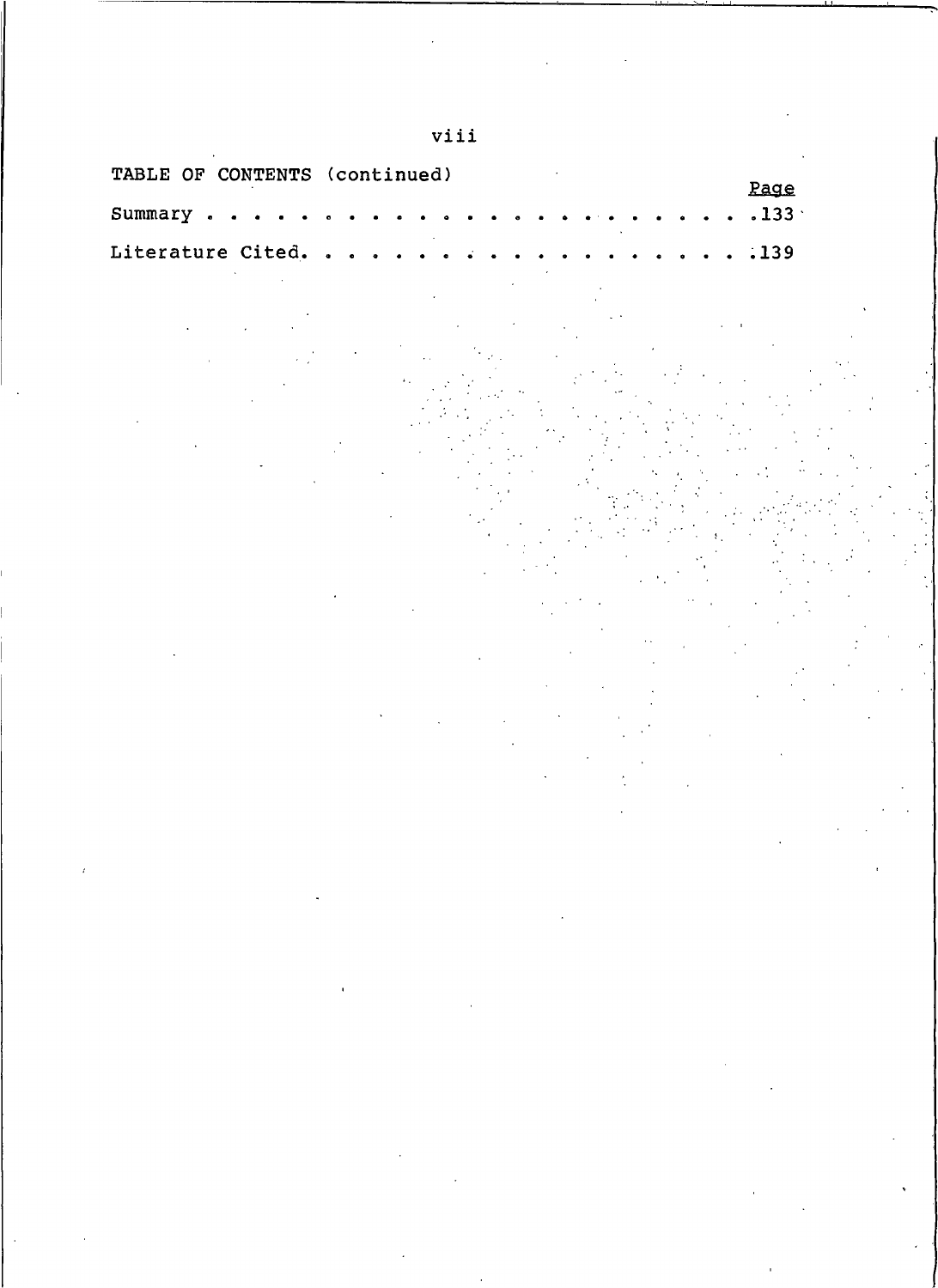| TABLE OF CONTENTS (continued) |                                                                                                                                                                                                                                                                                                                                                                                                                                                                                                                         | Page                                                                                              |
|-------------------------------|-------------------------------------------------------------------------------------------------------------------------------------------------------------------------------------------------------------------------------------------------------------------------------------------------------------------------------------------------------------------------------------------------------------------------------------------------------------------------------------------------------------------------|---------------------------------------------------------------------------------------------------|
| Summary.                      |                                                                                                                                                                                                                                                                                                                                                                                                                                                                                                                         | .133.                                                                                             |
| Literature Cited.             |                                                                                                                                                                                                                                                                                                                                                                                                                                                                                                                         | .139                                                                                              |
|                               | $\mathcal{L}_{\text{max}}$ , where $\mathcal{L}_{\text{max}}$<br>$\label{eq:2.1} \frac{1}{\sqrt{2}}\left(\frac{1}{\sqrt{2}}\right)^{2} \left(\frac{1}{\sqrt{2}}\right)^{2} \left(\frac{1}{\sqrt{2}}\right)^{2} \left(\frac{1}{\sqrt{2}}\right)^{2} \left(\frac{1}{\sqrt{2}}\right)^{2} \left(\frac{1}{\sqrt{2}}\right)^{2} \left(\frac{1}{\sqrt{2}}\right)^{2} \left(\frac{1}{\sqrt{2}}\right)^{2} \left(\frac{1}{\sqrt{2}}\right)^{2} \left(\frac{1}{\sqrt{2}}\right)^{2} \left(\frac{1}{\sqrt{2}}\right)^{2} \left(\$ |                                                                                                   |
|                               | $\label{eq:2.1} \mathcal{L}(\mathcal{L}(\mathcal{L})) = \mathcal{L}(\mathcal{L}(\mathcal{L})) = \mathcal{L}(\mathcal{L}(\mathcal{L})) = \mathcal{L}(\mathcal{L}(\mathcal{L})) = \mathcal{L}(\mathcal{L}(\mathcal{L})) = \mathcal{L}(\mathcal{L}(\mathcal{L})) = \mathcal{L}(\mathcal{L}(\mathcal{L})) = \mathcal{L}(\mathcal{L}(\mathcal{L})) = \mathcal{L}(\mathcal{L}(\mathcal{L})) = \mathcal{L}(\mathcal{L}(\mathcal{L})) = \mathcal{L}(\mathcal{L}(\mathcal{L})) = \math$                                          |                                                                                                   |
|                               | $\label{eq:2.1} \mathcal{L}(\mathcal{L}^{\text{max}}_{\mathcal{L}}(\mathcal{L}^{\text{max}}_{\mathcal{L}}),\mathcal{L}^{\text{max}}_{\mathcal{L}}(\mathcal{L}^{\text{max}}_{\mathcal{L}}))\leq \mathcal{L}(\mathcal{L}^{\text{max}}_{\mathcal{L}}(\mathcal{L}^{\text{max}}_{\mathcal{L}}))$                                                                                                                                                                                                                             | $\mathcal{L}(\mathcal{L})$ and $\mathcal{L}(\mathcal{L})$ . The set of $\mathcal{L}(\mathcal{L})$ |
|                               | $\mathcal{L}(\mathcal{L}^{\mathcal{L}})$ and $\mathcal{L}^{\mathcal{L}}(\mathcal{L}^{\mathcal{L}})$ and $\mathcal{L}^{\mathcal{L}}(\mathcal{L}^{\mathcal{L}})$                                                                                                                                                                                                                                                                                                                                                          |                                                                                                   |

viii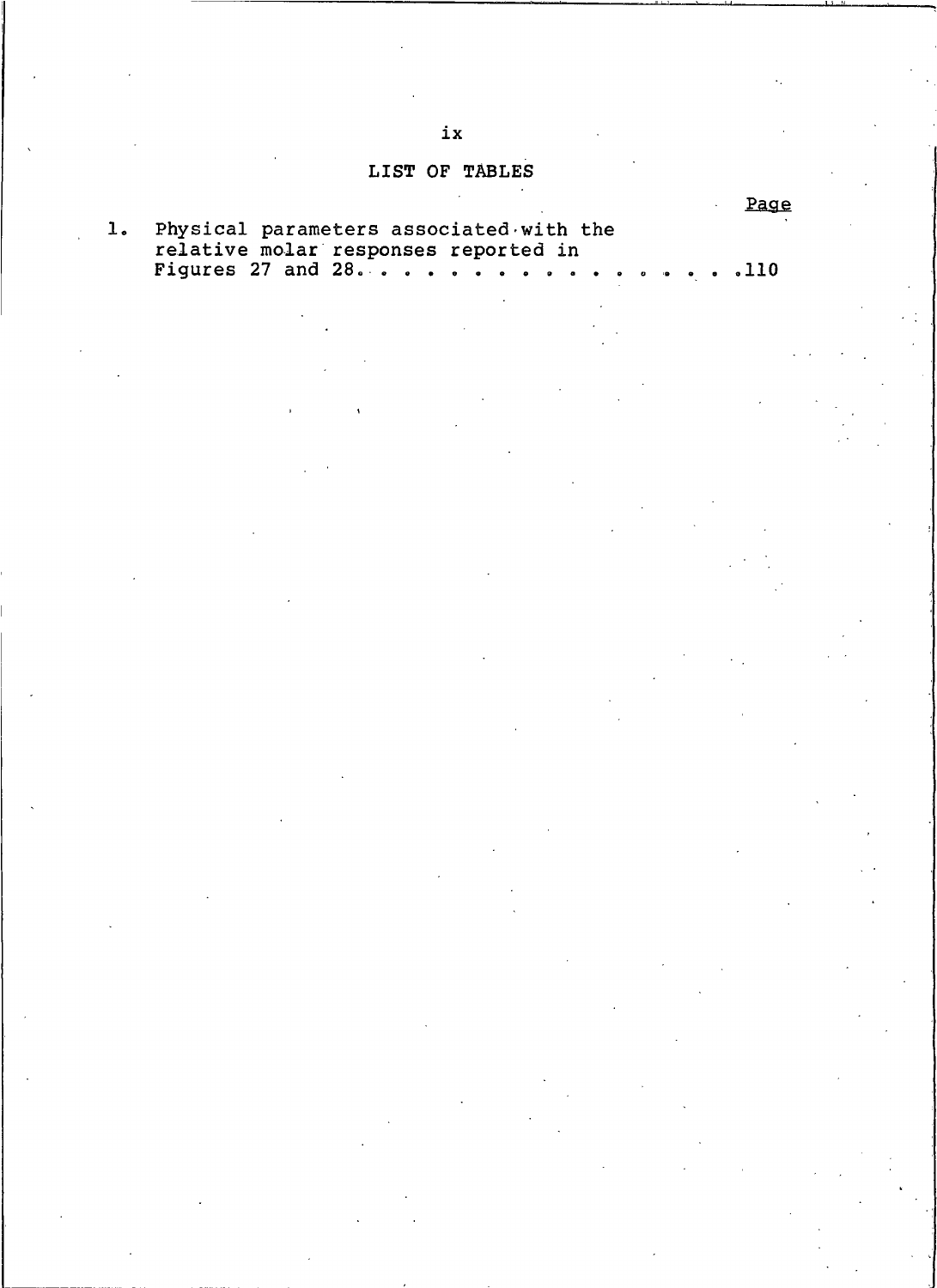LIST OF TABLES

|                                                                                    | Page |
|------------------------------------------------------------------------------------|------|
| 1. Physical parameters associated with the<br>relative molar responses reported in |      |
|                                                                                    |      |

 $ix$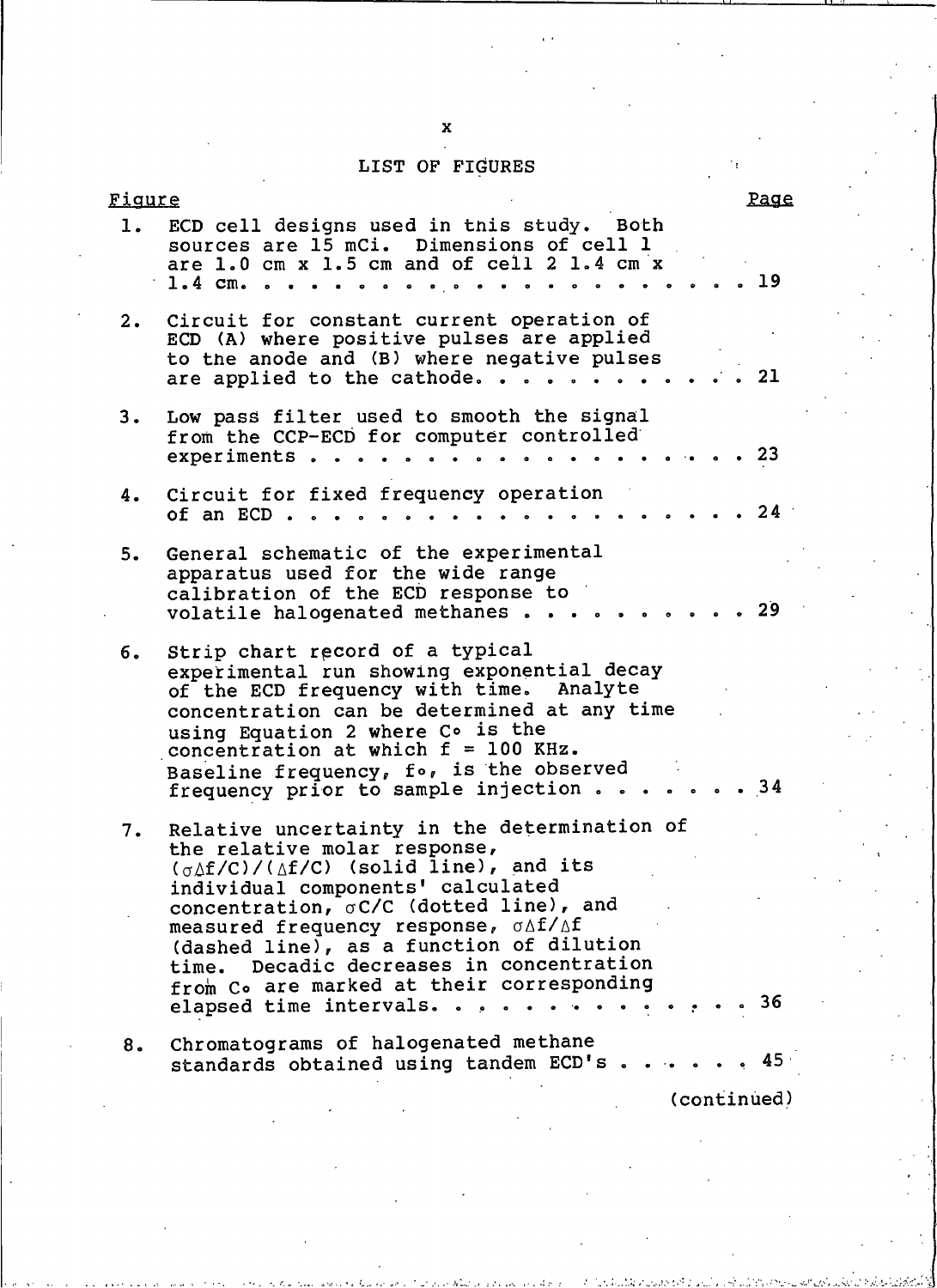# LIST OF FIGURES

| <u>Fiqure</u> |                                                                                                                                                                                                                                                                                                                                        | Page |
|---------------|----------------------------------------------------------------------------------------------------------------------------------------------------------------------------------------------------------------------------------------------------------------------------------------------------------------------------------------|------|
| 1.            | ECD cell designs used in this study. Both<br>sources are 15 mCi. Dimensions of cell 1<br>are 1.0 cm x 1.5 cm and of cell 2 1.4 cm x<br>$1.4 \, cm. \, . \, .$                                                                                                                                                                          | 19   |
| 2.            | Circuit for constant current operation of<br>ECD (A) where positive pulses are applied<br>to the anode and (B) where negative pulses<br>are applied to the cathode.                                                                                                                                                                    | -21  |
| з.            | Low pass filter used to smooth the signal<br>from the CCP-ECD for computer controlled<br>experiments<br>.                                                                                                                                                                                                                              | .23  |
| 4.            | Circuit for fixed frequency operation<br>of an ECD $\ldots$<br>$\bullet$ $\bullet$ $\bullet$ $\bullet$                                                                                                                                                                                                                                 | 24   |
| 5.            | General schematic of the experimental<br>apparatus used for the wide range<br>calibration of the ECD response to<br>volatile halogenated methanes                                                                                                                                                                                      | 29   |
| б.            | Strip chart record of a typical<br>experimental run showing exponential decay<br>of the ECD frequency with time. Analyte<br>concentration can be determined at any time<br>using Equation 2 where Co is the<br>concentration at which $f = 100$ KHz.<br>Baseline frequency, fo, is the observed<br>frequency prior to sample injection | . 34 |
| 7.            | Relative uncertainty in the determination of<br>the relative molar response,<br>$(\sigma \Delta f/C)/(\Delta f/C)$ (solid line), and its<br>individual components' calculated<br>concentration, oC/C (dotted line), and<br>measured frequency response, $\sigma \Delta f / \Delta f$                                                   |      |
|               | (dashed line), as a function of dilution<br>time. Decadic decreases in concentration<br>from Co are marked at their corresponding<br>elapsed time intervals. 36                                                                                                                                                                        |      |
| 8.            | Chromatograms of halogenated methane<br>standards obtained using tandem ECD's 45                                                                                                                                                                                                                                                       |      |
|               | (6.8)                                                                                                                                                                                                                                                                                                                                  |      |

 $\mathbf{x}$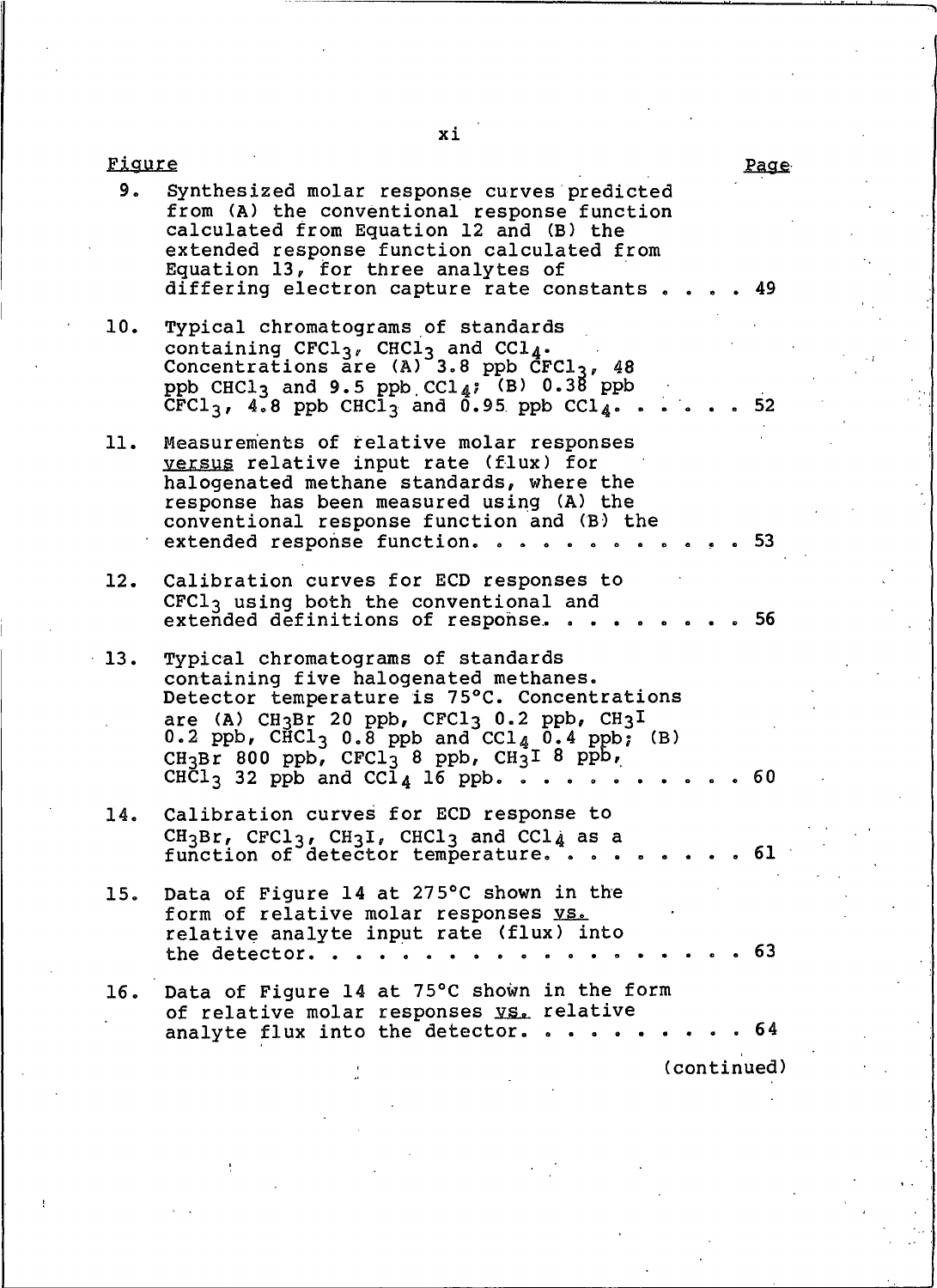| <u>Fiqure</u> |                                                                                                                                                                                                                                                                                                                                                                    | <u>rage</u> |  |  |  |  |
|---------------|--------------------------------------------------------------------------------------------------------------------------------------------------------------------------------------------------------------------------------------------------------------------------------------------------------------------------------------------------------------------|-------------|--|--|--|--|
| 9.            | Synthesized molar response curves predicted<br>from (A) the conventional response function<br>calculated from Equation 12 and (B) the<br>extended response function calculated from<br>Equation 13, for three analytes of<br>differing electron capture rate constants                                                                                             | -49         |  |  |  |  |
| 10.           | Typical chromatograms of standards<br>containing $CFC1_{3}$ , $CHC1_{3}$ and $CCL_{4}$ .<br>Concentrations are $(A)$ 3.8 ppb CFCl <sub>3</sub> , 48<br>ppb CHCl <sub>3</sub> and 9.5 ppb CCl <sub>4</sub> ; (B) $0.38$ ppb<br>$CFC13$ , 4.8 ppb CHCl <sub>3</sub> and 0.95 ppb CCl <sub>4</sub>                                                                    | - 52        |  |  |  |  |
| 11.           | Measurements of relative molar responses<br><u>versus</u> relative input rate (flux) for<br>halogenated methane standards, where the<br>response has been measured using (A) the<br>conventional response function and (B) the<br>extended response function. .                                                                                                    | . 53        |  |  |  |  |
| 12.           | Calibration curves for ECD responses to<br>$CFC13$ using both the conventional and<br>extended definitions of response.                                                                                                                                                                                                                                            | . 56        |  |  |  |  |
| 13.           | Typical chromatograms of standards<br>containing five halogenated methanes.<br>Detector temperature is 75°C. Concentrations<br>are (A) CH3Br 20 ppb, CFCl3 0.2 ppb, CH3I<br>0.2 ppb, $CHCl_3$ 0.8 ppb and $CCl_4$ 0.4 ppb; (B)<br>CH <sub>3</sub> Br 800 ppb, CFCl <sub>3</sub> 8 ppb, CH <sub>3</sub> I 8 ppb,<br>$CH\bar{C}1_3$ 32 ppb and $C\bar{C}1_4$ 16 ppb. | - 60        |  |  |  |  |
| 14.           | Calibration curves for ECD response to<br>$CH_3Br$ , $CFC1_3$ , $CH_3I$ , $CHC1_3$ and $CCL_{d}$ as a<br>function of detector temperature.                                                                                                                                                                                                                         | 61          |  |  |  |  |
| 15.           | Data of Figure 14 at 275°C shown in the<br>form of relative molar responses vs.<br>relative analyte input rate (flux) into<br>the detector.                                                                                                                                                                                                                        | . 63        |  |  |  |  |
| 16.           | Data of Figure 14 at 75°C shown in the form<br>of relative molar responses vs. relative<br>analyte flux into the detector.                                                                                                                                                                                                                                         | - 64        |  |  |  |  |
| (continued)   |                                                                                                                                                                                                                                                                                                                                                                    |             |  |  |  |  |

xi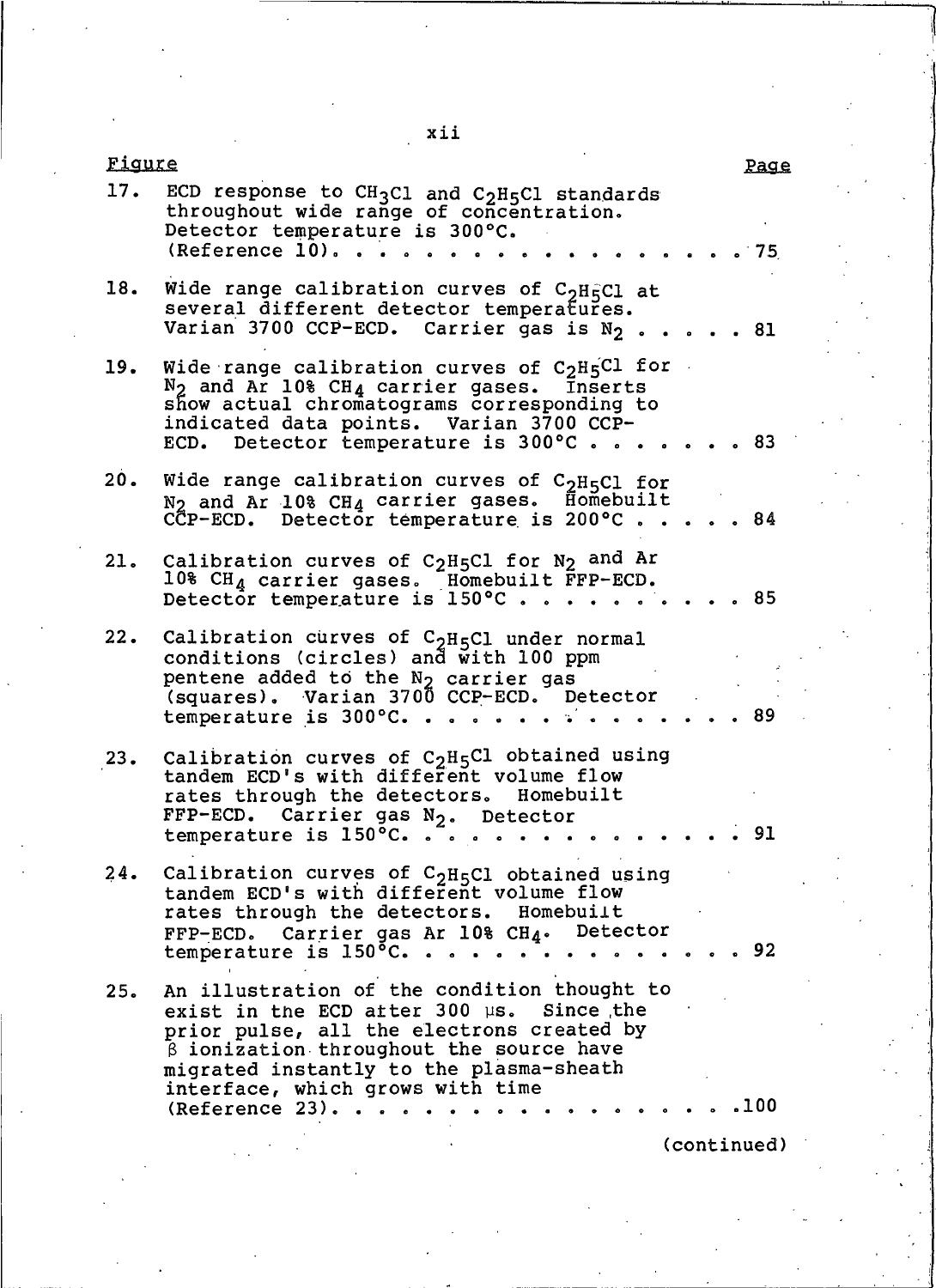xii

| rigure |                                                                                                                                                                                                                                                                                            |                    | <u>Page</u> |
|--------|--------------------------------------------------------------------------------------------------------------------------------------------------------------------------------------------------------------------------------------------------------------------------------------------|--------------------|-------------|
|        | 17. ECD response to CH <sub>3</sub> Cl and C <sub>2</sub> H <sub>5</sub> Cl standards<br>throughout wide range of concentration.<br>Detector temperature is 300°C.<br>$(Reference 10)$ .                                                                                                   | $\cdot$ $\cdot$ 75 |             |
| 18.    | Wide range calibration curves of C <sub>2</sub> H <sub>5</sub> Cl at<br>several different detector temperatures.<br>Varian 3700 CCP-ECD. Carrier gas is $N_2$ 81                                                                                                                           |                    |             |
| 19.    | Wide range calibration curves of $C_2H_5Cl$ for<br>$N_2$ and Ar 10% CH <sub>4</sub> carrier gases. Inserts<br>show actual chromatograms corresponding to<br>indicated data points. Varian 3700 CCP-<br>ECD. Detector temperature is 300°C83                                                |                    |             |
| 20.    | Wide range calibration curves of $C_2H_5C1$ for<br>N <sub>2</sub> and Ar 10% CH <sub>4</sub> carrier gases. Homebuilt<br>CCP-ECD. Detector temperature is 200°C84                                                                                                                          |                    |             |
| 21.    | Calibration curves of C <sub>2</sub> H <sub>5</sub> Cl for N <sub>2</sub> and Ar<br>10% $CH_A$ carrier gases. Homebuilt $\text{FP-ECD.}$<br>Detector temperature is 150°C85                                                                                                                |                    |             |
| 22.    | Calibration curves of $C_{2}H_{5}Cl$ under normal<br>conditions (circles) and with 100 ppm<br>pentene added to the N <sub>2</sub> carrier gas<br>(squares). Varian 3700 CCP-ECD. Detector<br>temperature is 300°C.                                                                         |                    | -89         |
| 23.    | Calibration curves of $C_2H_5C1$ obtained using<br>tandem ECD's with different volume flow<br>rates through the detectors. Homebuilt<br>FFP-ECD. Carrier gas N <sub>2</sub> . Detector<br>temperature is $150^{\circ}$ C.                                                                  |                    | -91         |
| 24.    | Calibration curves of $C_2H_5C1$ obtained using<br>tandem ECD's with different volume flow<br>rates through the detectors. Homebuilt<br>FFP-ECD. Carrier gas Ar 10% CH4. Detector<br>temperature is $150^{\circ}$ C.                                                                       |                    | . 92        |
| 25.    | An illustration of the condition thought to<br>exist in the ECD after 300 us. Since the<br>prior pulse, all the electrons created by<br>$\beta$ ionization throughout the source have<br>migrated instantly to the plasma-sheath<br>interface, which grows with time<br>$(Reference 23)$ . |                    | . 100       |
|        |                                                                                                                                                                                                                                                                                            |                    | (continued) |
|        |                                                                                                                                                                                                                                                                                            |                    |             |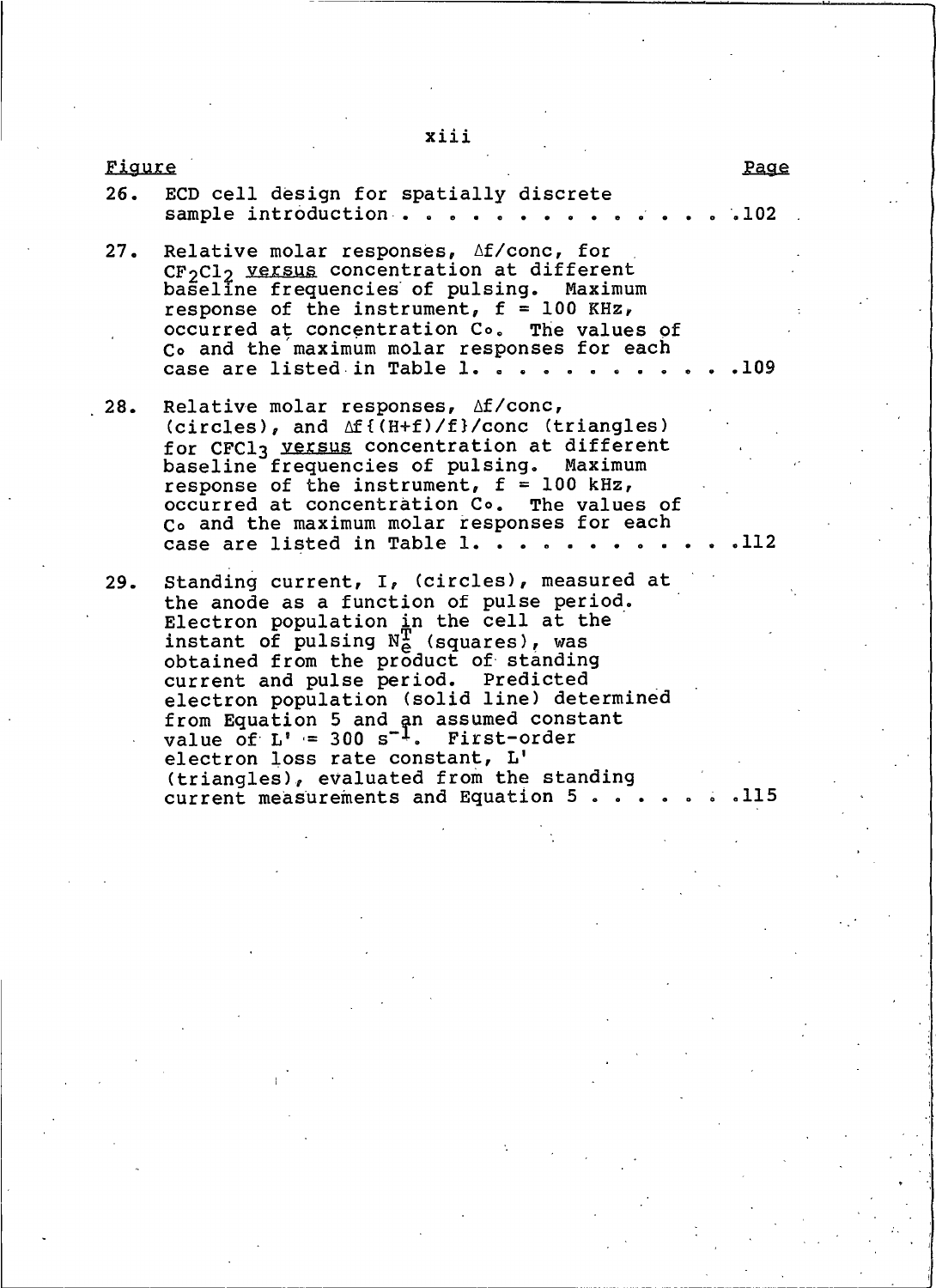Figure Page  $26.$ ECD cell design for spatially discrete sample introduction . . .102  $27.$ Relative molar responses, Af/conc, for CF<sub>2</sub>Cl<sub>2</sub> versus concentration at different baseline frequencies of pulsing. Maximum response of the instrument,  $f = 100$  KHz, occurred at concentration C<sub>o</sub>. The values of Co and the maximum molar responses for each case are listed in Table 1. . . . .109  $28.$ Relative molar responses,  $\Delta f / \text{conc}$ , (circles), and Af{(H+f)/f}/conc (triangles) for CFCl3 versus concentration at different baseline frequencies of pulsing. Maximum response of the instrument,  $f = 100$  kHz, occurred at concentration Co. The values of Co and the maximum molar responses for each .112 case are listed in Table 1. . . 29. Standing current, I, (circles), measured at the anode as a function of pulse period. Electron population in the cell at the instant of pulsing  $N_{\Theta}^{+}$  (squares), was obtained from the product of standing current and pulse period. Predicted electron population (solid line) determined from Equation 5 and an assumed constant value of  $L' = 300 s^{-1}$ . First-order electron loss rate constant, L' (triangles), evaluated from the standing current measurements and Equation 5... .115

xiii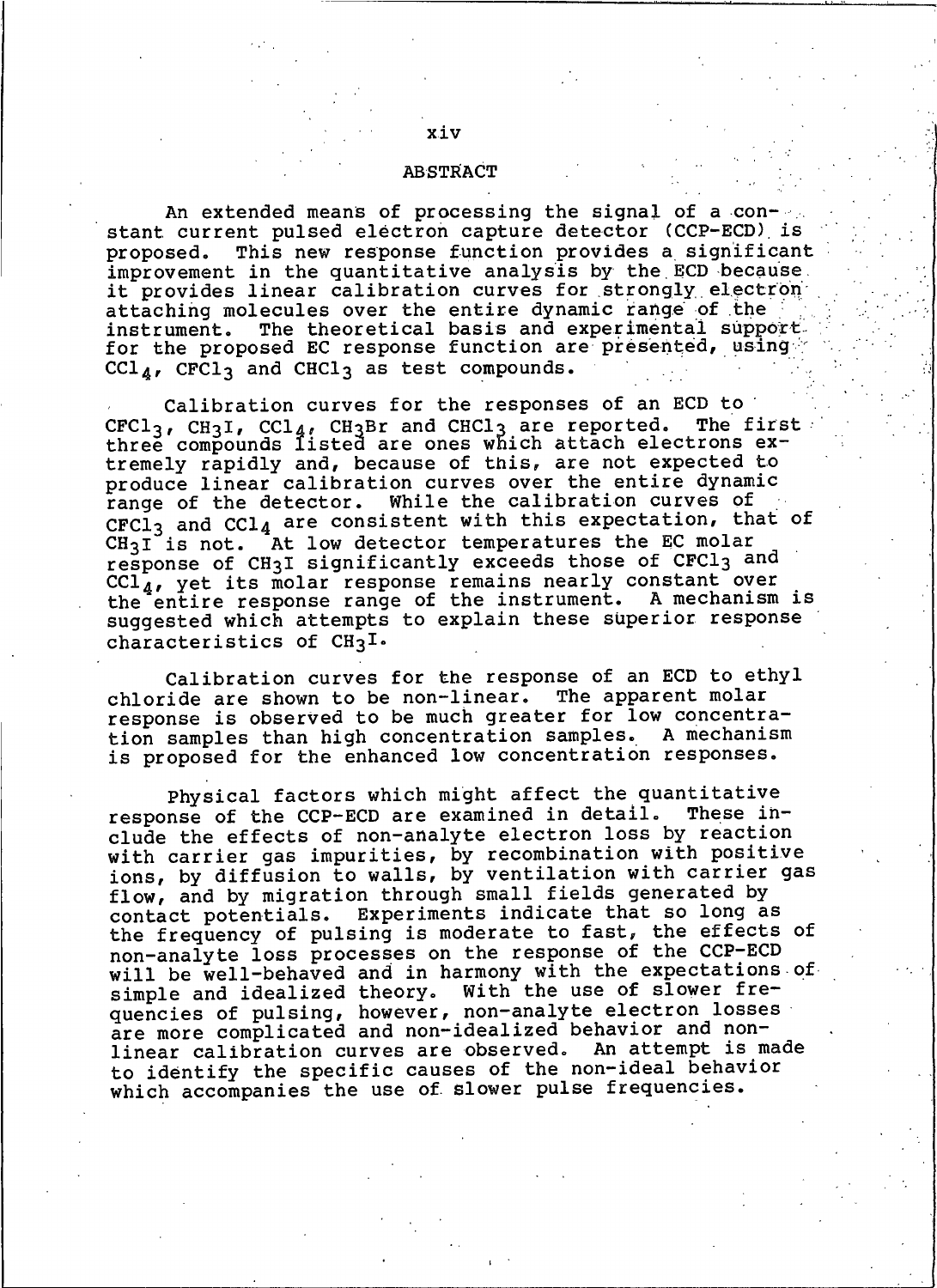#### **ABSTRACT**

An extended means of processing the signal of a constant current pulsed electron capture detector (CCP-ECD) is proposed. This new response function provides a significant improvement in the quantitative analysis by the ECD because. it provides linear calibration curves for strongly electron attaching molecules over the entire dynamic range of the The theoretical basis and experimental support. instrument. for the proposed EC response function are presented, using  $\texttt{CCl}_{\textit{A}}$ , CFCl3 and CHCl3 as test compounds.

Calibration curves for the responses of an ECD to CFCl<sub>3</sub>, CH<sub>3</sub>I, CCl<sub>4</sub>, CH<sub>3</sub>Br and CHCl<sub>3</sub> are reported. The firs<br>three compounds listed are ones which attach electrons ex-The first tremely rapidly and, because of this, are not expected to produce linear calibration curves over the entire dynamic While the calibration curves of range of the detector. CFCl<sub>3</sub> and CCl<sub>4</sub> are consistent with this expectation, that of At low detector temperatures the EC molar  $CH<sub>3</sub>I$  is not. response of CH3I significantly exceeds those of CFCl3 and  $\operatorname{ccl}^-_{4}$ , yet its molar response remains nearly constant over the entire response range of the instrument. A mechanism is suggested which attempts to explain these superior response characteristics of  $CH<sub>3</sub>I<sub>o</sub>$ 

Calibration curves for the response of an ECD to ethyl chloride are shown to be non-linear. The apparent molar response is observed to be much greater for low concentration samples than high concentration samples. A mechanism is proposed for the enhanced low concentration responses.

Physical factors which might affect the quantitative response of the CCP-ECD are examined in detail. These include the effects of non-analyte electron loss by reaction with carrier gas impurities, by recombination with positive ions, by diffusion to walls, by ventilation with carrier gas flow, and by migration through small fields generated by Experiments indicate that so long as contact potentials. the frequency of pulsing is moderate to fast, the effects of non-analyte loss processes on the response of the CCP-ECD will be well-behaved and in harmony with the expectations of simple and idealized theory. With the use of slower frequencies of pulsing, however, non-analyte electron losses<br>are more complicated and non-idealized behavior and nonlinear calibration curves are observed. An attempt is made to identify the specific causes of the non-ideal behavior which accompanies the use of slower pulse frequencies.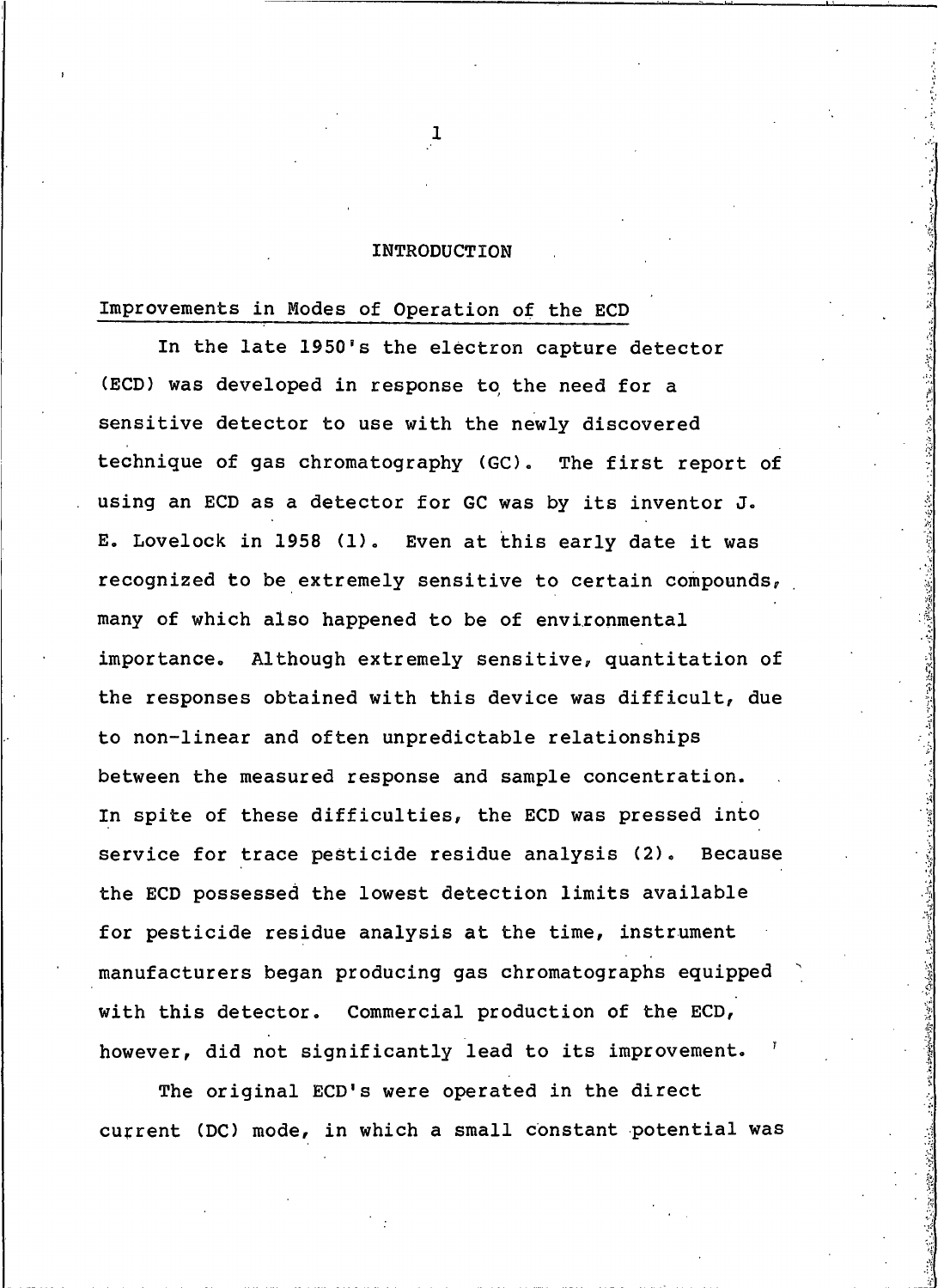## INTRODUCTION

# Improvements in Modes of Operation of the ECD

In the late 1950's the electron capture detector (ECD) was developed in response to the need for a sensitive detector to use with the newly discovered technique of gas chromatography (GC). The first report of using an ECD as a detector for GC was by its inventor J. E. Lovelock in 1958 (1). Even at this early date it was recognized to be extremely sensitive to certain compounds, many of which also happened to be of environmental importance. Although extremely sensitive, quantitation of the responses obtained with this device was difficult, due to non-linear and often unpredictable relationships between the measured response and sample concentration. In spite of these difficulties, the ECD was pressed into service for trace pesticide residue analysis (2). Because the ECD possessed the lowest detection limits available for pesticide residue analysis at the time, instrument manufacturers began producing gas chromatographs equipped with this detector. Commercial production of the ECD, however, did not significantly lead to its improvement.

The original ECD's were operated in the direct current (DC) mode, in which a small constant potential was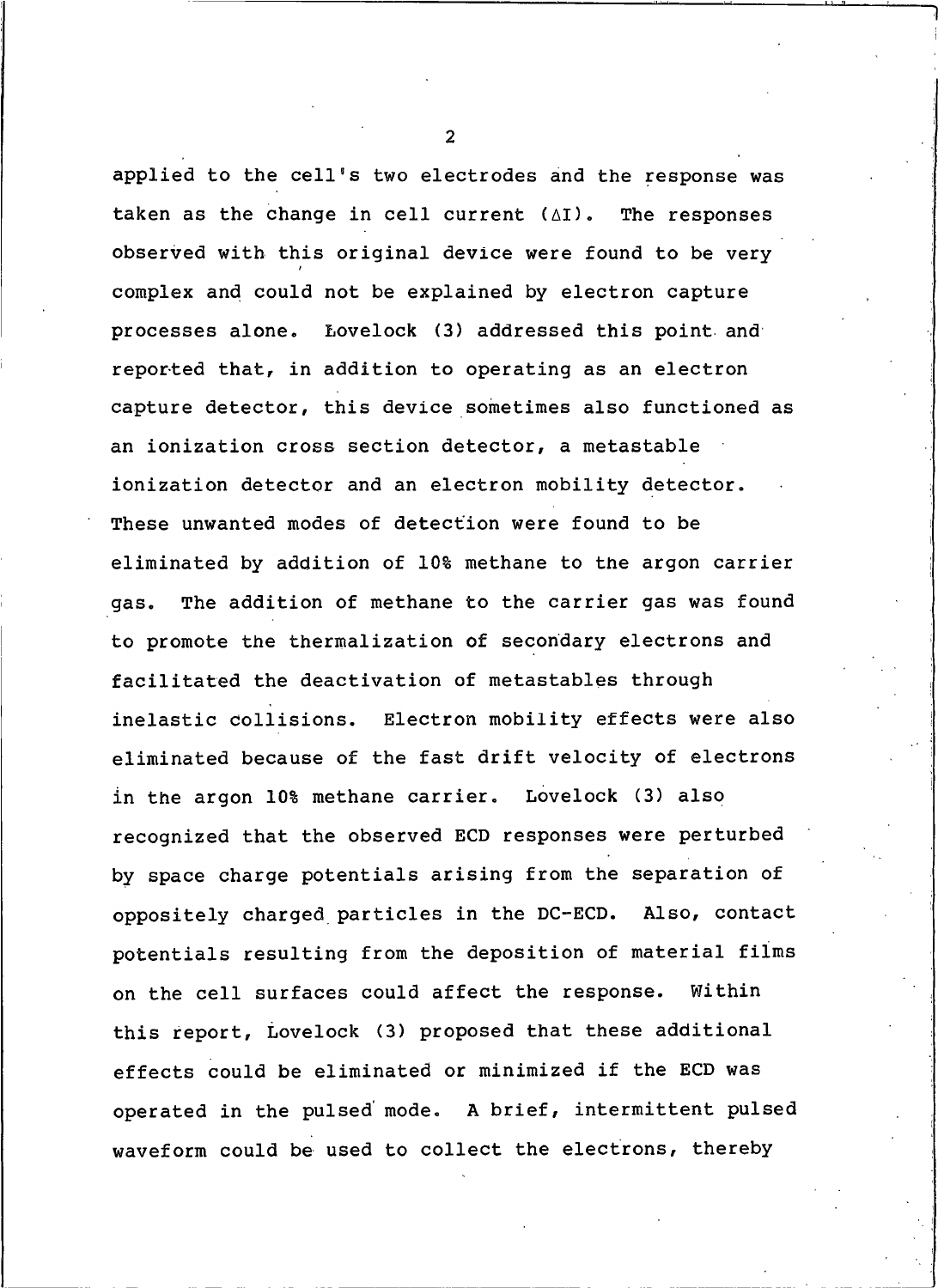applied to the cell's two electrodes and the response was taken as the change in cell current  $(\Delta I)$ . The responses observed with this original device were found to be very complex and could not be explained by electron capture processes alone. Lovelock (3) addressed this point and reported that, in addition to operating as an electron capture detector, this device sometimes also functioned as an ionization cross section detector, a metastable ionization detector and an electron mobility detector. These unwanted modes of detection were found to be eliminated by addition of 10% methane to the argon carrier The addition of methane to the carrier gas was found qas. to promote the thermalization of secondary electrons and facilitated the deactivation of metastables through inelastic collisions. Electron mobility effects were also eliminated because of the fast drift velocity of electrons in the argon 10% methane carrier. Lovelock (3) also recognized that the observed ECD responses were perturbed by space charge potentials arising from the separation of oppositely charged particles in the DC-ECD. Also, contact potentials resulting from the deposition of material films on the cell surfaces could affect the response. Within this report, Lovelock (3) proposed that these additional effects could be eliminated or minimized if the ECD was operated in the pulsed mode. A brief, intermittent pulsed waveform could be used to collect the electrons, thereby

 $\mathcal{P}$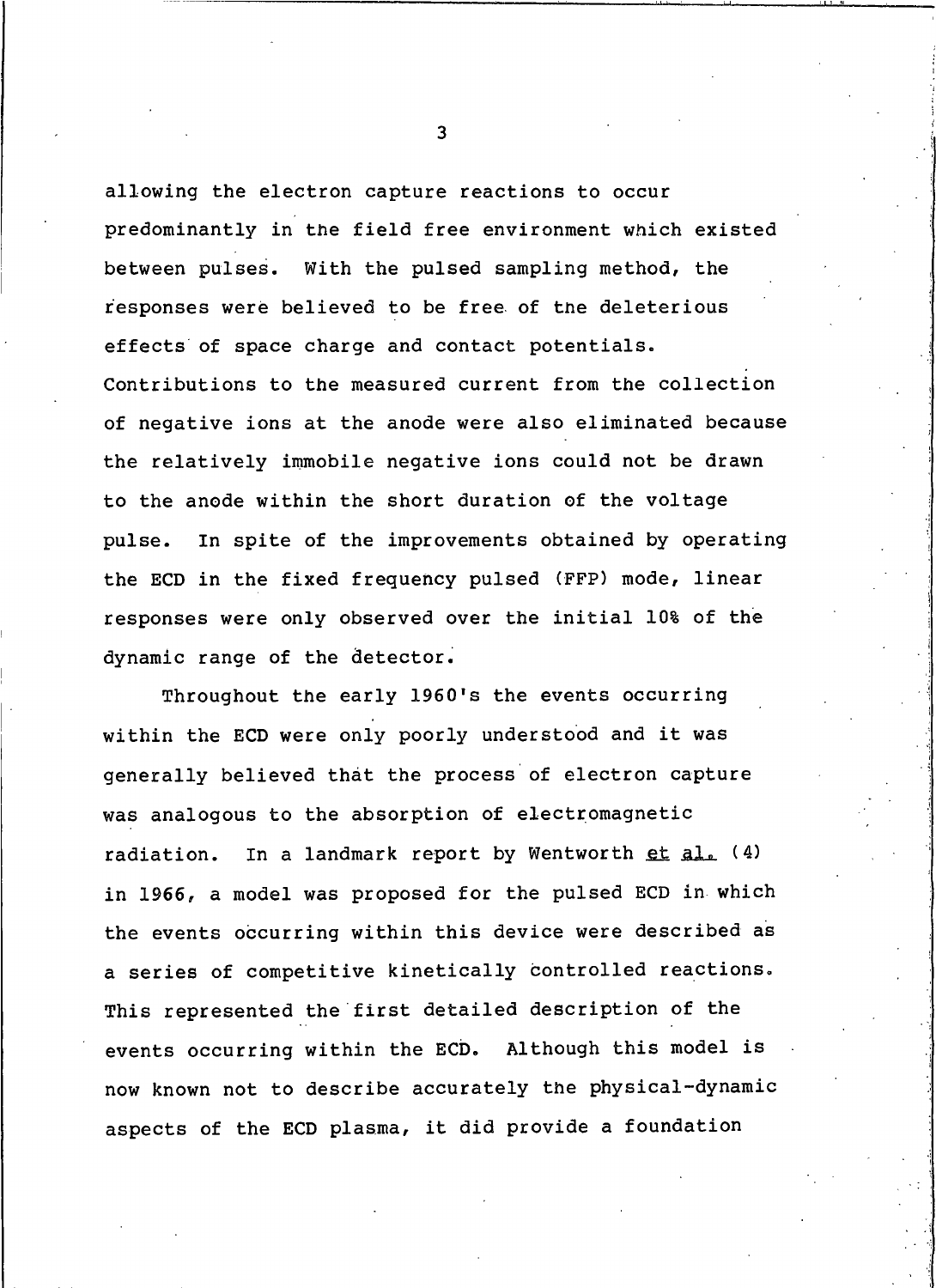allowing the electron capture reactions to occur predominantly in the field free environment which existed between pulses. With the pulsed sampling method, the responses were believed to be free of the deleterious effects of space charge and contact potentials. Contributions to the measured current from the collection of negative ions at the anode were also eliminated because the relatively immobile negative ions could not be drawn to the anode within the short duration of the voltage In spite of the improvements obtained by operating pulse. the ECD in the fixed frequency pulsed (FFP) mode, linear responses were only observed over the initial 10% of the dynamic range of the detector.

Throughout the early 1960's the events occurring within the ECD were only poorly understood and it was generally believed that the process of electron capture was analogous to the absorption of electromagnetic In a landmark report by Wentworth et al. (4) radiation. in 1966, a model was proposed for the pulsed ECD in which the events occurring within this device were described as a series of competitive kinetically controlled reactions. This represented the first detailed description of the events occurring within the ECD. Although this model is now known not to describe accurately the physical-dynamic aspects of the ECD plasma, it did provide a foundation

 $\overline{3}$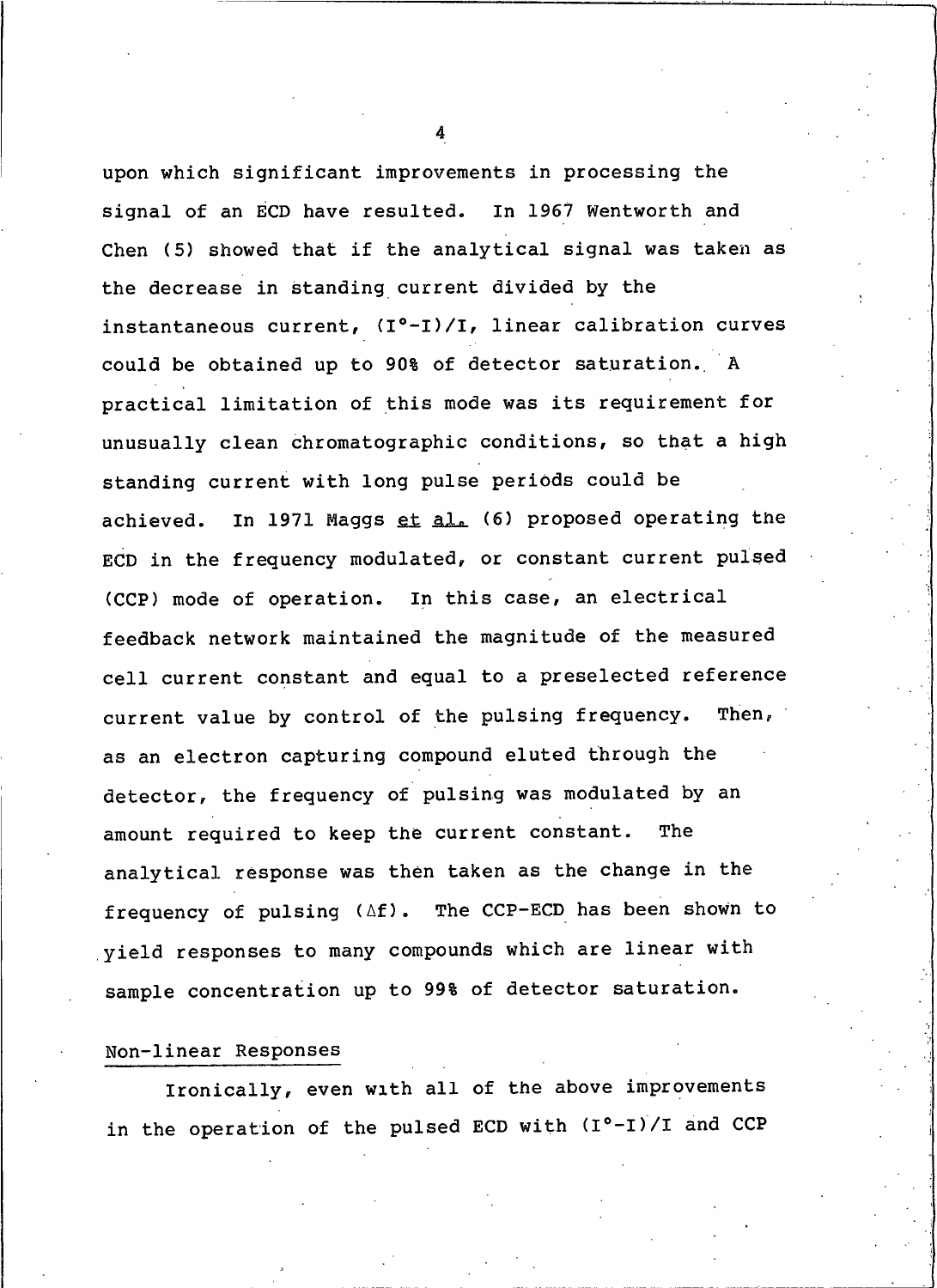upon which significant improvements in processing the signal of an ECD have resulted. In 1967 Wentworth and Chen (5) showed that if the analytical signal was taken as the decrease in standing current divided by the instantaneous current, (I°-I)/I, linear calibration curves could be obtained up to 90% of detector saturation. A practical limitation of this mode was its requirement for unusually clean chromatographic conditions, so that a high standing current with long pulse periods could be In 1971 Maggs et al. (6) proposed operating the achieved. ECD in the frequency modulated, or constant current pulsed (CCP) mode of operation. In this case, an electrical feedback network maintained the magnitude of the measured cell current constant and equal to a preselected reference current value by control of the pulsing frequency. Then, as an electron capturing compound eluted through the detector, the frequency of pulsing was modulated by an amount required to keep the current constant. **The** analytical response was then taken as the change in the frequency of pulsing (Af). The CCP-ECD has been shown to yield responses to many compounds which are linear with sample concentration up to 99% of detector saturation.

## Non-linear Responses

Ironically, even with all of the above improvements in the operation of the pulsed ECD with  $(I^o-I)/I$  and CCP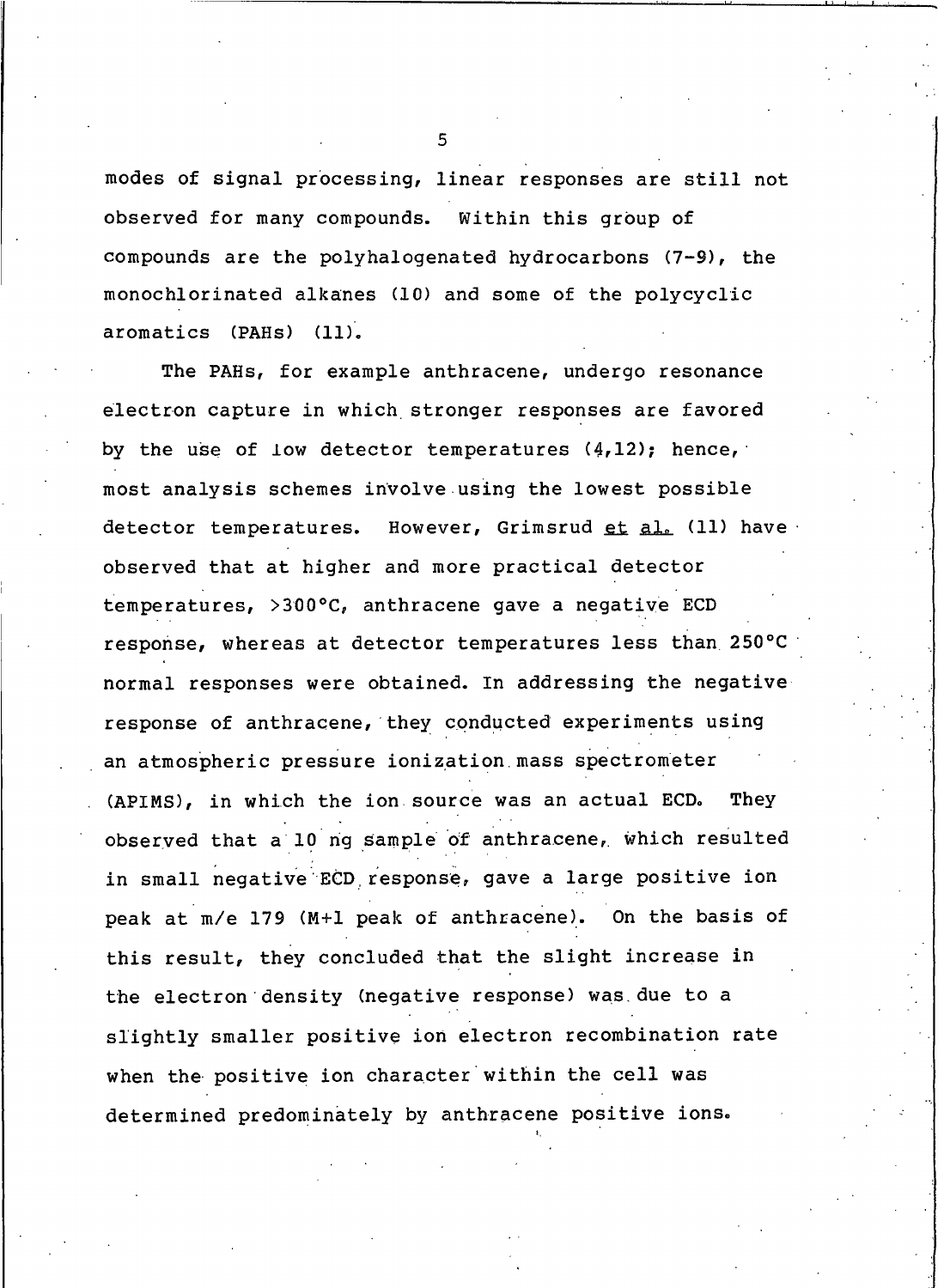modes of signal processing, linear responses are still not observed for many compounds. Within this group of compounds are the polyhalogenated hydrocarbons (7-9), the monochlorinated alkanes (10) and some of the polycyclic aromatics (PAHs) (11).

The PAHs, for example anthracene, undergo resonance electron capture in which stronger responses are favored by the use of low detector temperatures (4,12); hence, most analysis schemes involve using the lowest possible However, Grimsrud et al. (11) have detector temperatures. observed that at higher and more practical detector temperatures, >300°C, anthracene gave a negative ECD response, whereas at detector temperatures less than 250°C normal responses were obtained. In addressing the negative response of anthracene, they conducted experiments using an atmospheric pressure ionization mass spectrometer (APIMS), in which the ion source was an actual ECD. They observed that a 10 ng sample of anthracene, which resulted in small negative ECD response, gave a large positive ion peak at m/e 179 (M+1 peak of anthracene). On the basis of this result, they concluded that the slight increase in the electron density (negative response) was due to a slightly smaller positive ion electron recombination rate when the positive ion character within the cell was determined predominately by anthracene positive ions.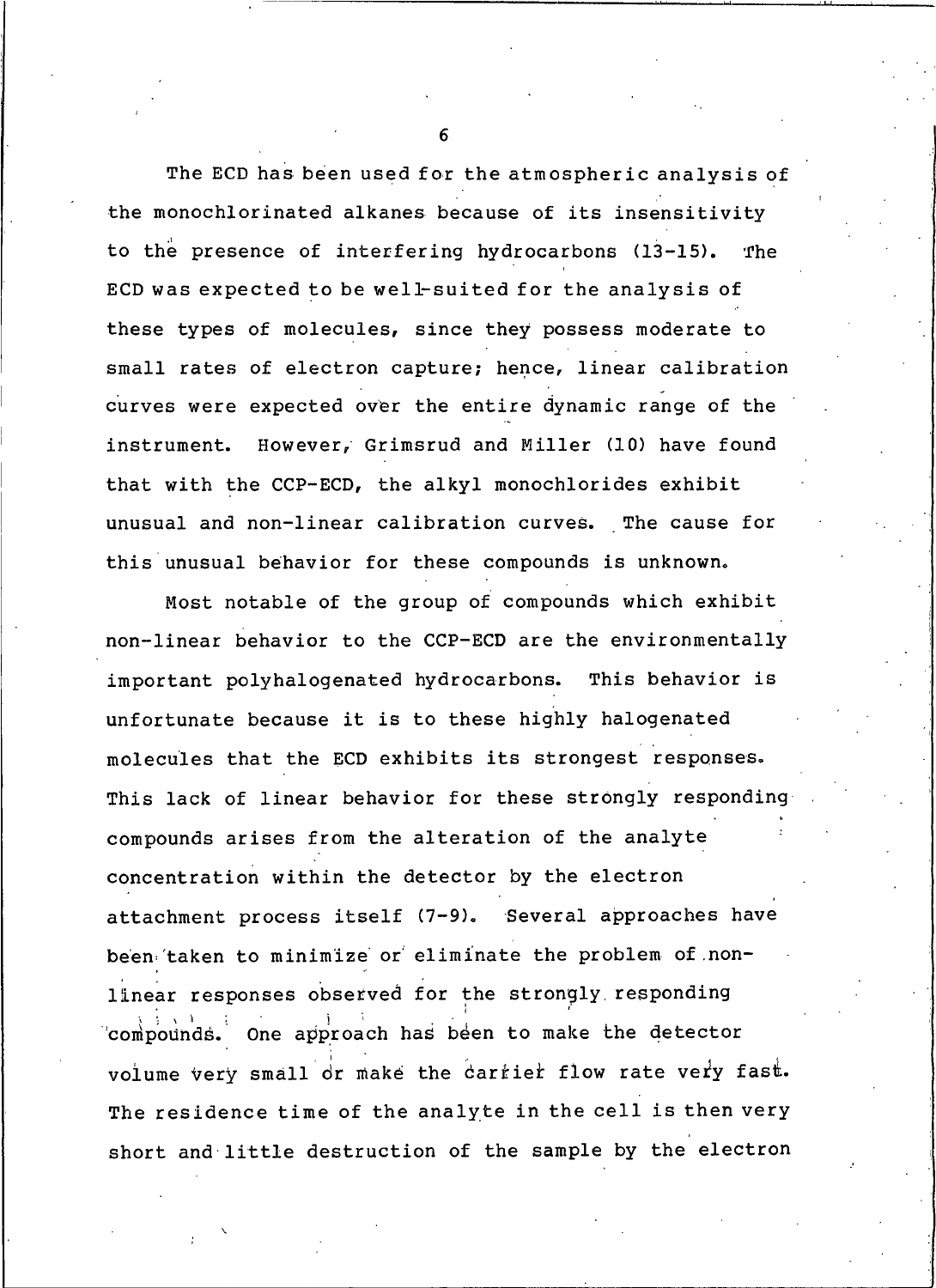The ECD has been used for the atmospheric analysis of the monochlorinated alkanes because of its insensitivity to the presence of interfering hydrocarbons (13-15). The ECD was expected to be well-suited for the analysis of these types of molecules, since they possess moderate to small rates of electron capture; hence, linear calibration curves were expected over the entire dynamic range of the instrument. However, Grimsrud and Miller (10) have found that with the CCP-ECD, the alkyl monochlorides exhibit unusual and non-linear calibration curves. The cause for this unusual behavior for these compounds is unknown.

Most notable of the group of compounds which exhibit non-linear behavior to the CCP-ECD are the environmentally This behavior is important polyhalogenated hydrocarbons. unfortunate because it is to these highly halogenated molecules that the ECD exhibits its strongest responses. This lack of linear behavior for these strongly responding compounds arises from the alteration of the analyte concentration within the detector by the electron attachment process itself (7-9). Several approaches have been taken to minimize or eliminate the problem of nonlinear responses observed for the strongly responding compounds. One approach has been to make the detector volume very small or make the carrier flow rate very fast. The residence time of the analyte in the cell is then very short and little destruction of the sample by the electron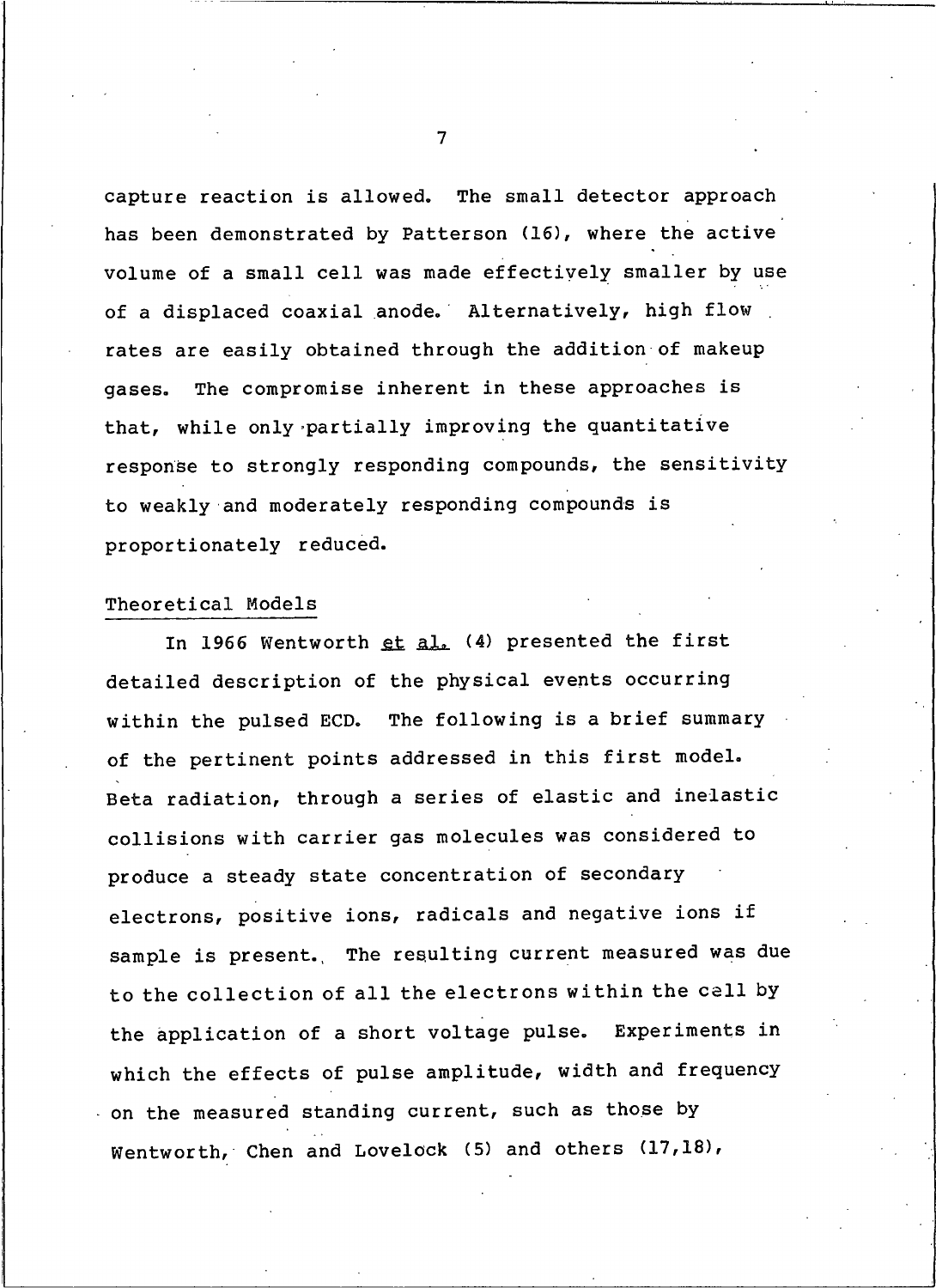capture reaction is allowed. The small detector approach has been demonstrated by Patterson (16), where the active volume of a small cell was made effectively smaller by use of a displaced coaxial anode. Alternatively, high flow rates are easily obtained through the addition of makeup The compromise inherent in these approaches is gases. that, while only partially improving the quantitative response to strongly responding compounds, the sensitivity to weakly and moderately responding compounds is proportionately reduced.

## Theoretical Models

In 1966 Wentworth et al. (4) presented the first detailed description of the physical events occurring within the pulsed ECD. The following is a brief summary of the pertinent points addressed in this first model. Beta radiation, through a series of elastic and inelastic collisions with carrier gas molecules was considered to produce a steady state concentration of secondary electrons, positive ions, radicals and negative ions if sample is present. The resulting current measured was due to the collection of all the electrons within the cell by the application of a short voltage pulse. Experiments in which the effects of pulse amplitude, width and frequency on the measured standing current, such as those by Wentworth, Chen and Lovelock (5) and others (17,18),

 $\overline{7}$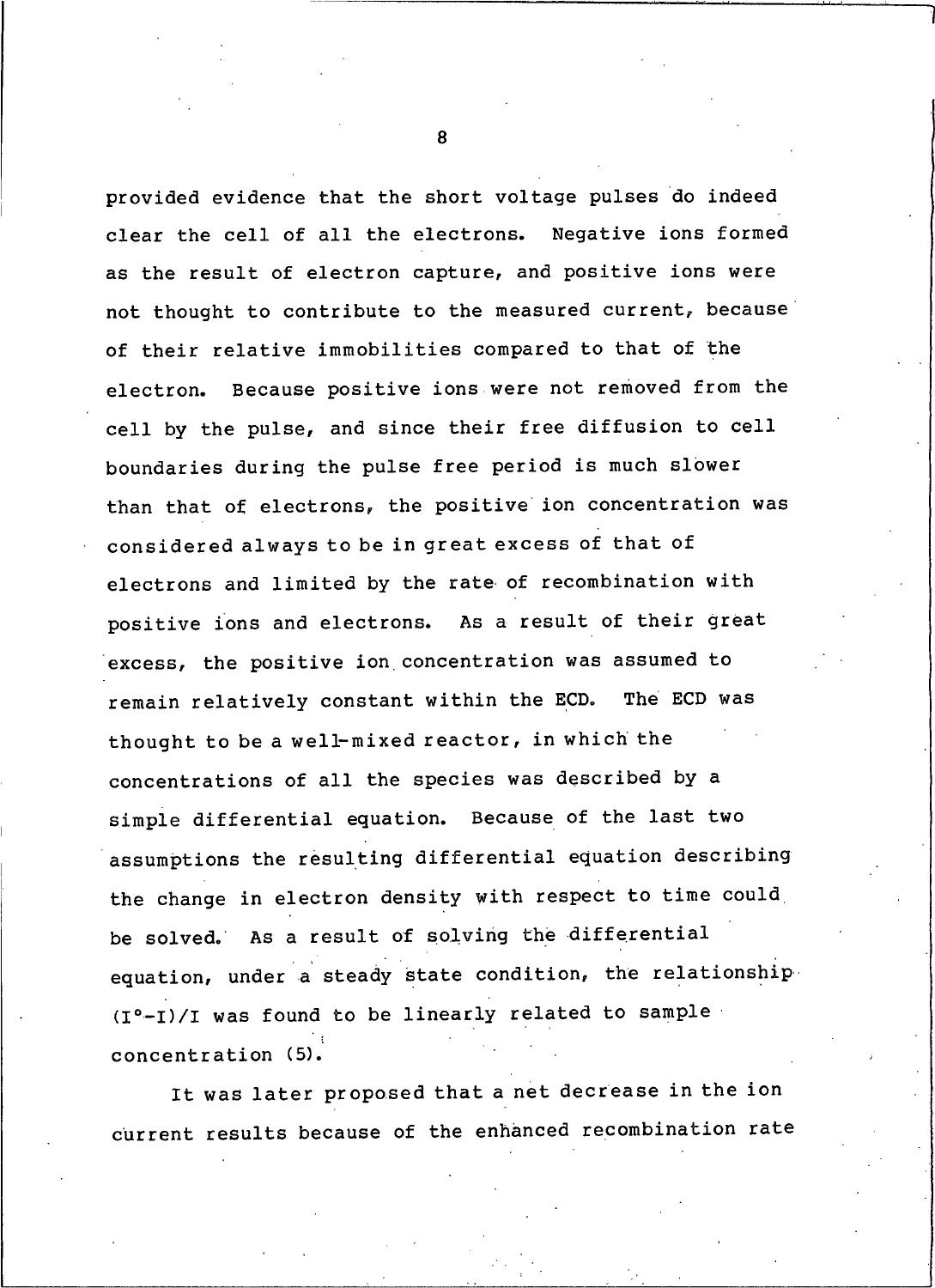provided evidence that the short voltage pulses do indeed clear the cell of all the electrons. Negative ions formed as the result of electron capture, and positive ions were not thought to contribute to the measured current, because of their relative immobilities compared to that of the Because positive ions were not removed from the electron. cell by the pulse, and since their free diffusion to cell boundaries during the pulse free period is much slower than that of electrons, the positive ion concentration was considered always to be in great excess of that of electrons and limited by the rate of recombination with positive ions and electrons. As a result of their great excess, the positive ion concentration was assumed to remain relatively constant within the ECD. The ECD was thought to be a well-mixed reactor, in which the concentrations of all the species was described by a simple differential equation. Because of the last two assumptions the resulting differential equation describing the change in electron density with respect to time could be solved. As a result of solving the differential equation, under a steady state condition, the relationship (I°-I)/I was found to be linearly related to sample concentration (5).

It was later proposed that a net decrease in the ion current results because of the enhanced recombination rate

 $\mathbf{8}$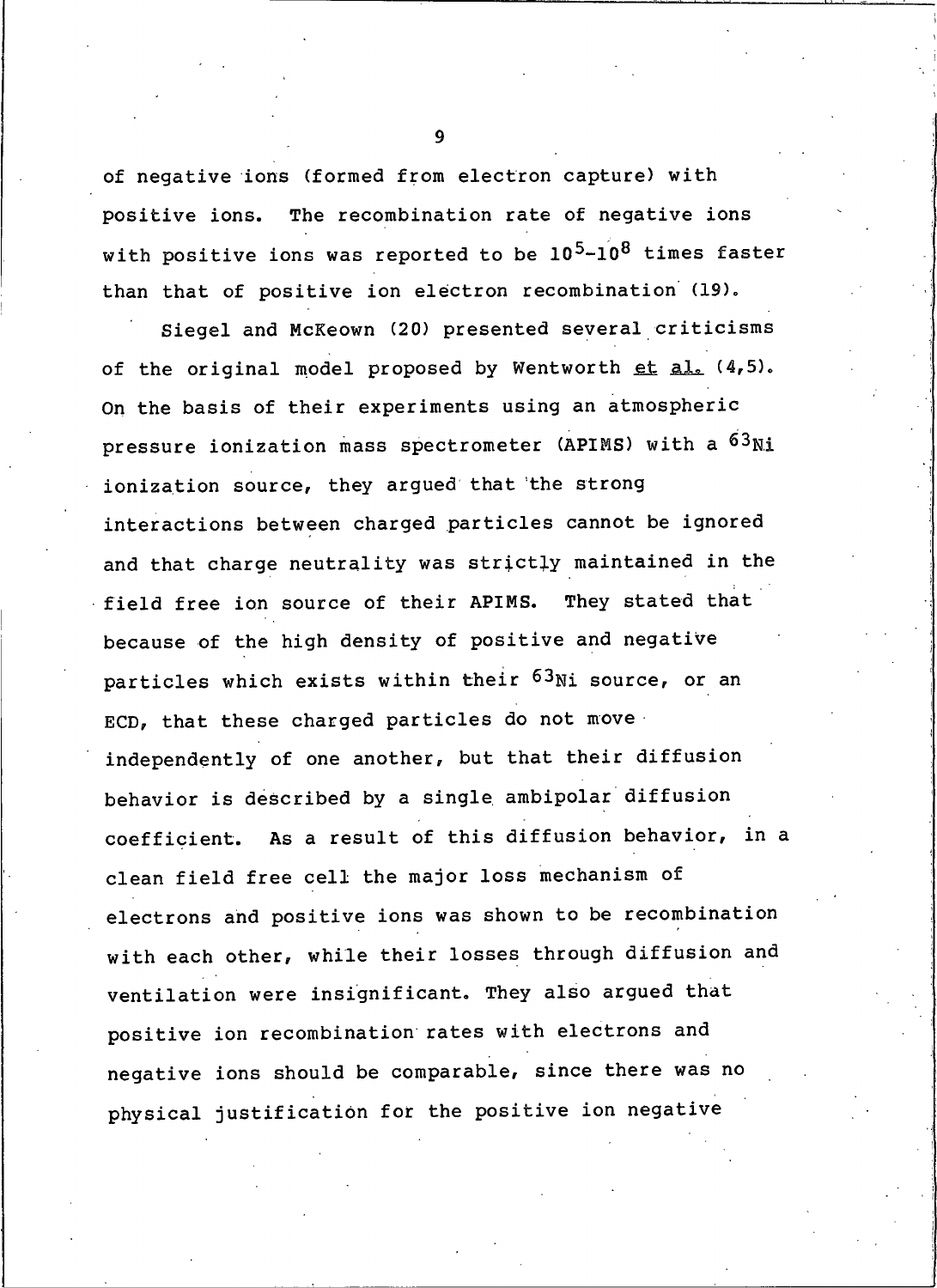of negative ions (formed from electron capture) with The recombination rate of negative ions positive ions. with positive ions was reported to be  $10^5 - 10^8$  times faster than that of positive ion electron recombination (19).

Siegel and McKeown (20) presented several criticisms of the original model proposed by Wentworth et al. (4,5). On the basis of their experiments using an atmospheric pressure ionization mass spectrometer (APIMS) with a 63Ni ionization source, they argued that the strong interactions between charged particles cannot be ignored and that charge neutrality was strictly maintained in the field free ion source of their APIMS. They stated that because of the high density of positive and negative particles which exists within their 63Ni source, or an ECD, that these charged particles do not move independently of one another, but that their diffusion behavior is described by a single ambipolar diffusion coefficient. As a result of this diffusion behavior, in a clean field free cell the major loss mechanism of electrons and positive ions was shown to be recombination with each other, while their losses through diffusion and ventilation were insignificant. They also argued that positive ion recombination rates with electrons and negative ions should be comparable, since there was no physical justification for the positive ion negative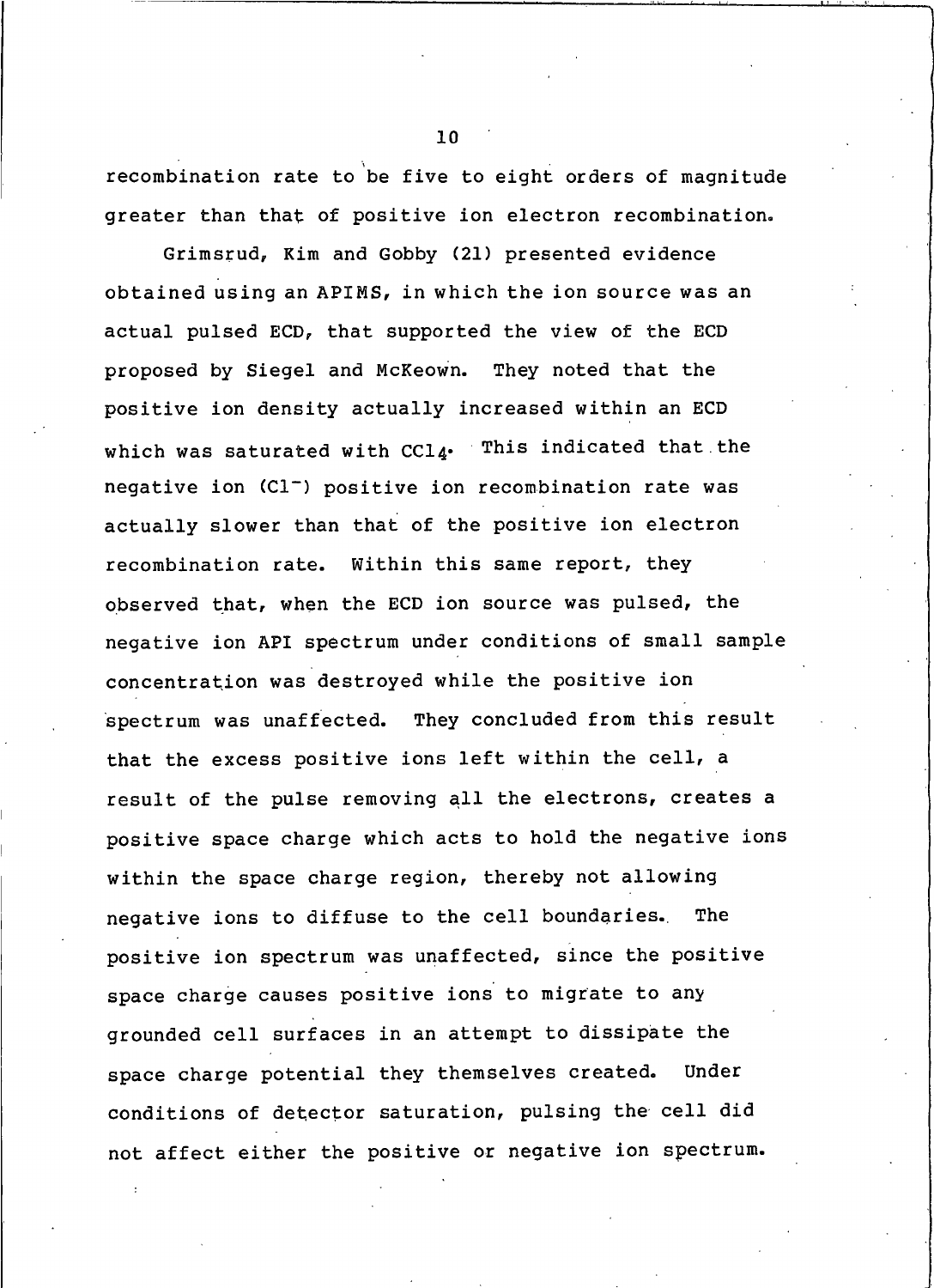recombination rate to be five to eight orders of magnitude greater than that of positive ion electron recombination.

Grimsrud, Kim and Gobby (21) presented evidence obtained using an APIMS, in which the ion source was an actual pulsed ECD, that supported the view of the ECD proposed by Siegel and McKeown. They noted that the positive ion density actually increased within an ECD which was saturated with CCl4. This indicated that the negative ion (Cl<sup>-</sup>) positive ion recombination rate was actually slower than that of the positive ion electron recombination rate. Within this same report, they observed that, when the ECD ion source was pulsed, the negative ion API spectrum under conditions of small sample concentration was destroyed while the positive ion spectrum was unaffected. They concluded from this result that the excess positive ions left within the cell, a result of the pulse removing all the electrons, creates a positive space charge which acts to hold the negative ions within the space charge region, thereby not allowing negative ions to diffuse to the cell boundaries. The positive ion spectrum was unaffected, since the positive space charge causes positive ions to migrate to any grounded cell surfaces in an attempt to dissipate the space charge potential they themselves created. Under conditions of detector saturation, pulsing the cell did not affect either the positive or negative ion spectrum.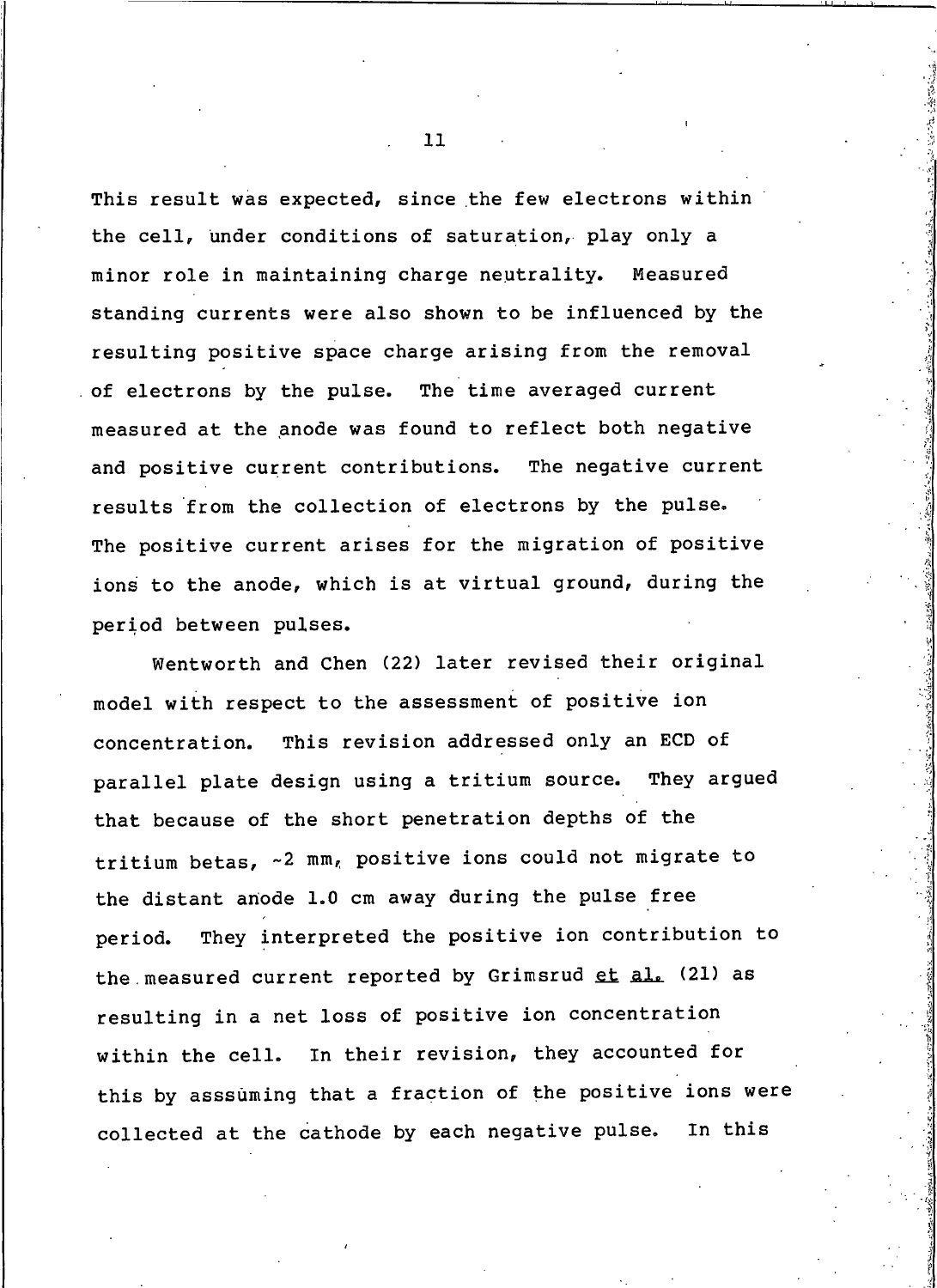This result was expected, since the few electrons within the cell, under conditions of saturation, play only a minor role in maintaining charge neutrality. Measured standing currents were also shown to be influenced by the resulting positive space charge arising from the removal of electrons by the pulse. The time averaged current measured at the anode was found to reflect both negative and positive current contributions. The negative current results from the collection of electrons by the pulse. The positive current arises for the migration of positive ions to the anode, which is at virtual ground, during the period between pulses.

Wentworth and Chen (22) later revised their original model with respect to the assessment of positive ion concentration. This revision addressed only an ECD of parallel plate design using a tritium source. They arqued that because of the short penetration depths of the tritium betas, ~2 mm, positive ions could not migrate to the distant anode 1.0 cm away during the pulse free They interpreted the positive ion contribution to period. the measured current reported by Grimsrud et al. (21) as resulting in a net loss of positive ion concentration within the cell. In their revision, they accounted for this by asssuming that a fraction of the positive ions were collected at the cathode by each negative pulse. In this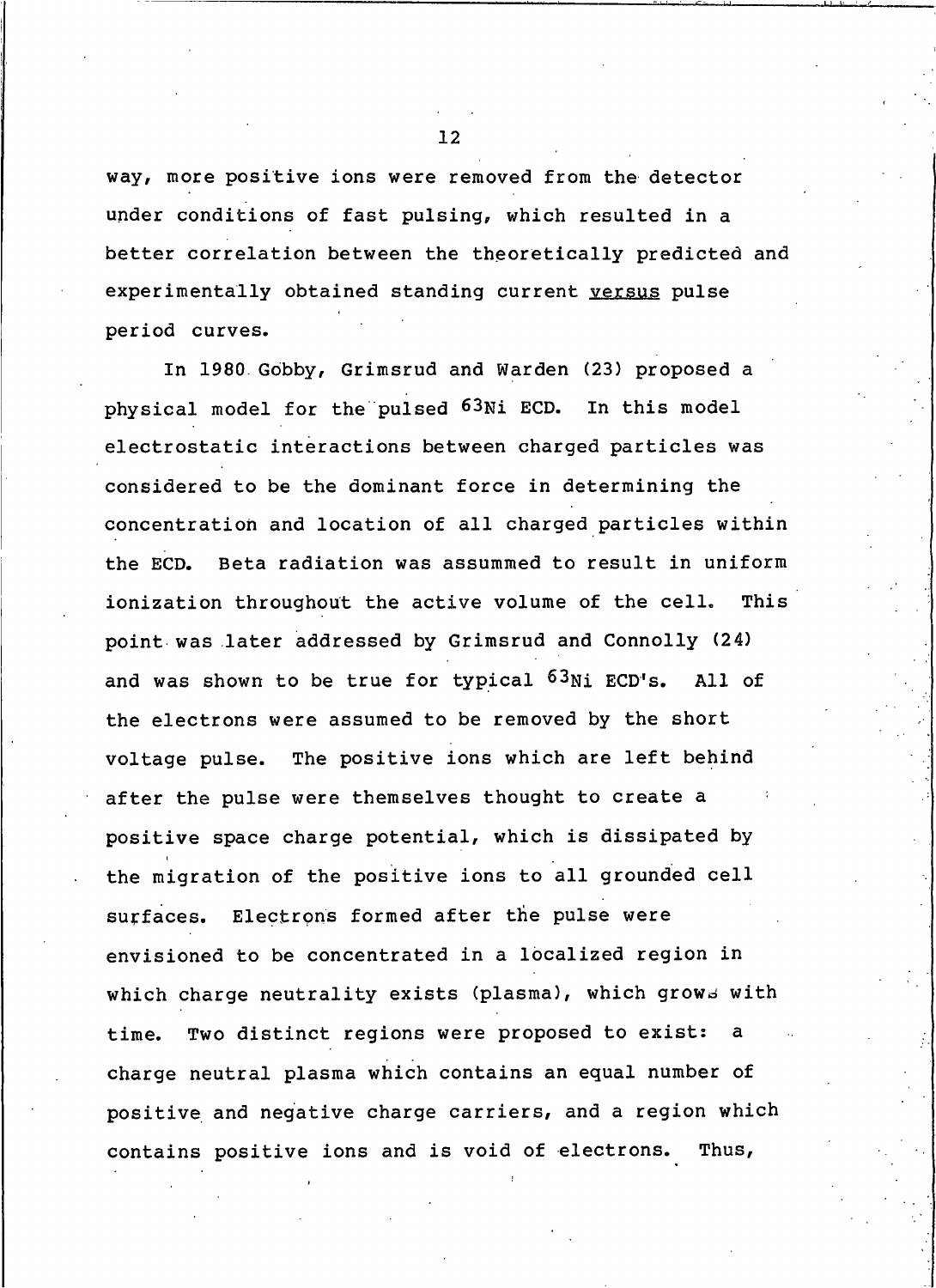way, more positive ions were removed from the detector under conditions of fast pulsing, which resulted in a better correlation between the theoretically predicted and experimentally obtained standing current versus pulse period curves.

In 1980 Gobby, Grimsrud and Warden (23) proposed a physical model for the pulsed 63Ni ECD. In this model electrostatic interactions between charged particles was considered to be the dominant force in determining the concentration and location of all charged particles within Beta radiation was assummed to result in uniform the ECD. ionization throughout the active volume of the cell. This point was later addressed by Grimsrud and Connolly (24) and was shown to be true for typical <sup>63</sup>Ni ECD's. All of the electrons were assumed to be removed by the short voltage pulse. The positive ions which are left behind after the pulse were themselves thought to create a positive space charge potential, which is dissipated by the migration of the positive ions to all grounded cell surfaces. Electrons formed after the pulse were envisioned to be concentrated in a localized region in which charge neutrality exists (plasma), which grows with Two distinct regions were proposed to exist: time. charge neutral plasma which contains an equal number of positive and negative charge carriers, and a region which contains positive ions and is void of electrons. Thus,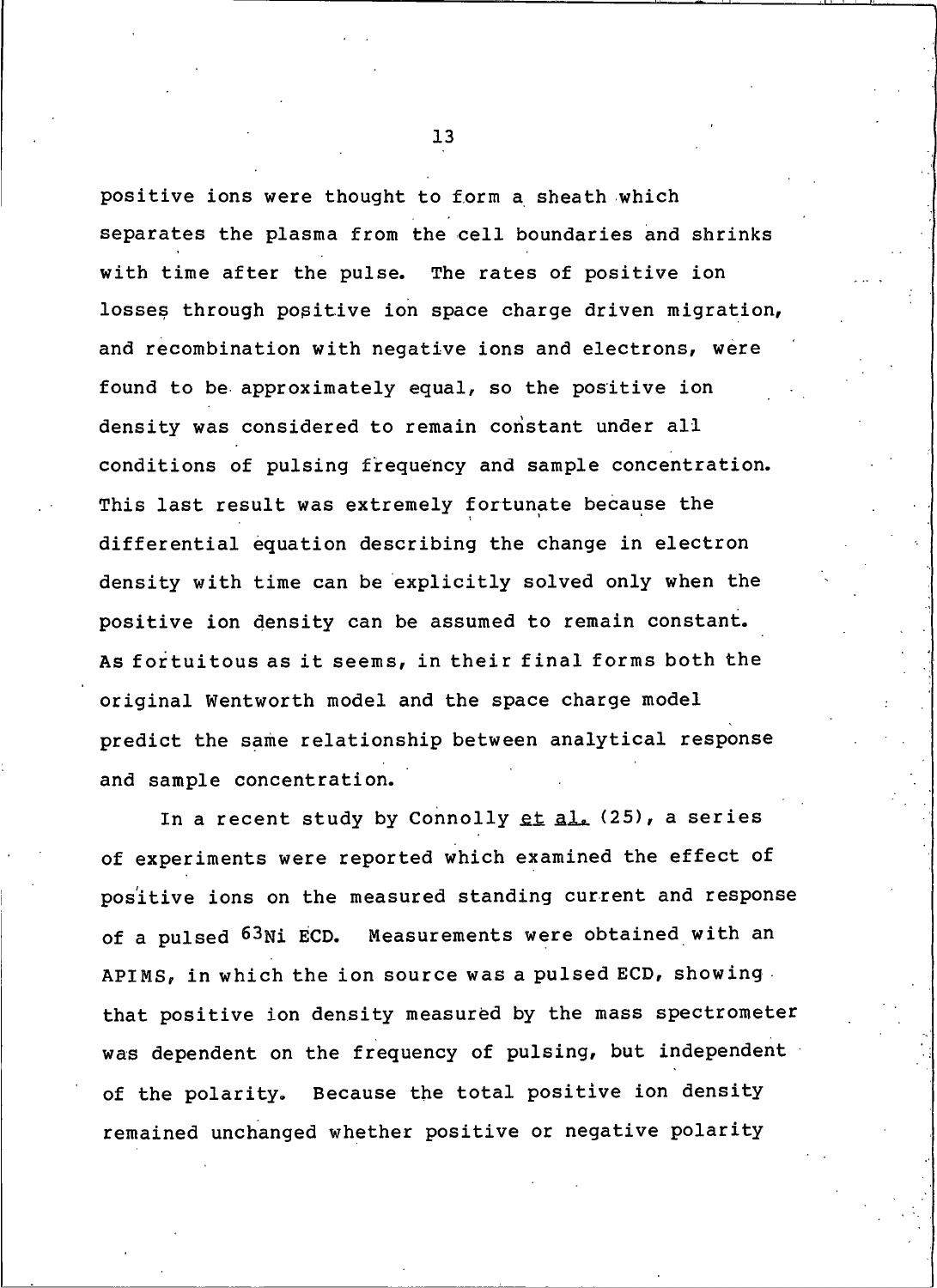positive ions were thought to form a sheath which separates the plasma from the cell boundaries and shrinks with time after the pulse. The rates of positive ion losses through positive ion space charge driven migration, and recombination with negative ions and electrons, were found to be approximately equal, so the positive ion density was considered to remain constant under all conditions of pulsing frequency and sample concentration. This last result was extremely fortunate because the differential equation describing the change in electron density with time can be explicitly solved only when the positive ion density can be assumed to remain constant. As fortuitous as it seems, in their final forms both the original Wentworth model and the space charge model predict the same relationship between analytical response and sample concentration.

In a recent study by Connolly et al. (25), a series of experiments were reported which examined the effect of positive ions on the measured standing current and response of a pulsed 63Ni ECD. Measurements were obtained with an APIMS, in which the ion source was a pulsed ECD, showing. that positive ion density measured by the mass spectrometer was dependent on the frequency of pulsing, but independent of the polarity. Because the total positive ion density remained unchanged whether positive or negative polarity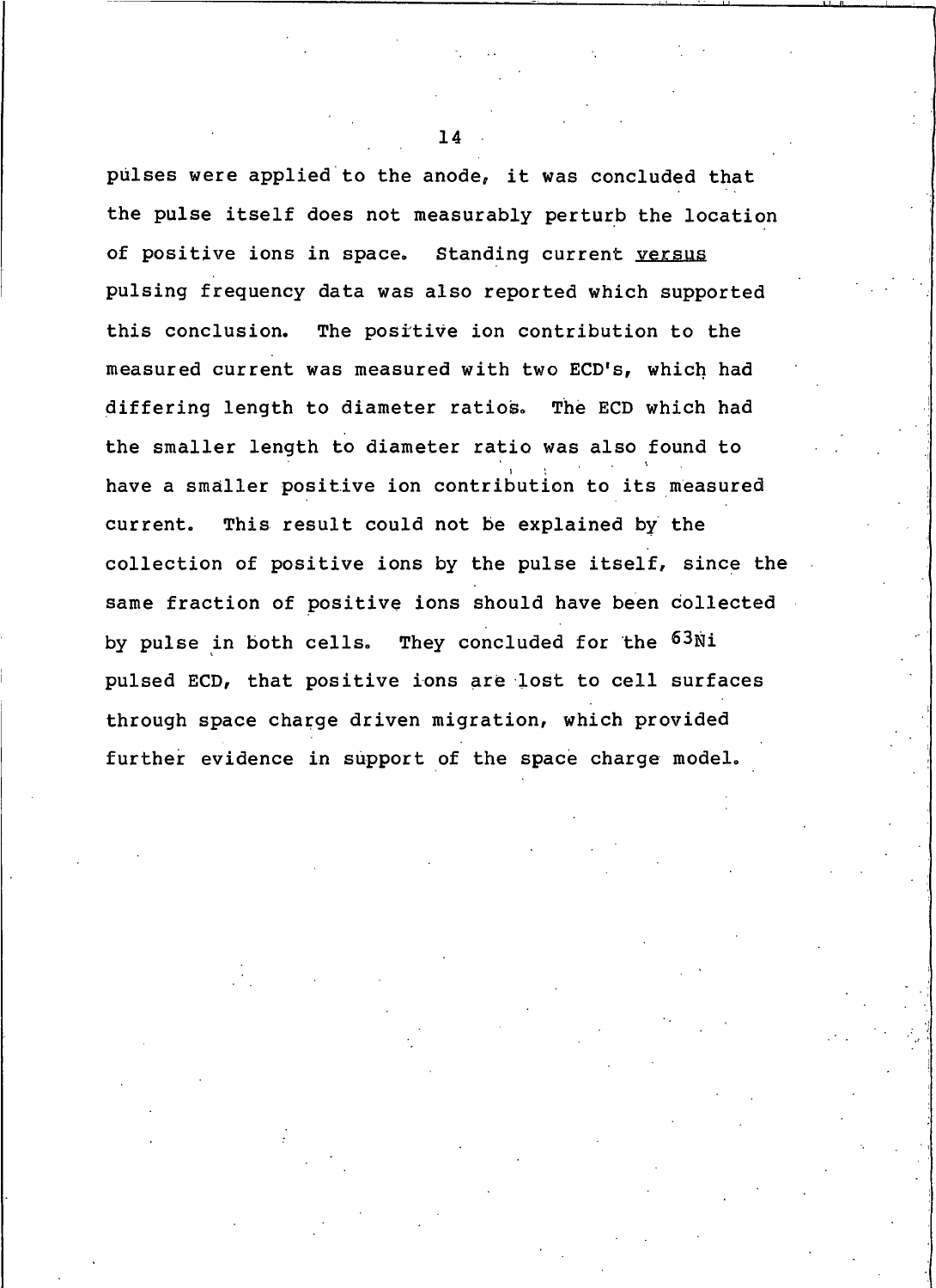pulses were applied to the anode, it was concluded that the pulse itself does not measurably perturb the location of positive ions in space. Standing current yersus pulsing frequency data was also reported which supported this conclusion. The positive ion contribution to the measured current was measured with two ECD's, which had differing length to diameter ratios. The ECD which had the smaller length to diameter ratio was also found to have a smaller positive ion contribution to its measured current. This result could not be explained by the collection of positive ions by the pulse itself, since the same fraction of positive ions should have been collected They concluded for the <sup>63Ni</sup> by pulse in both cells. pulsed ECD, that positive ions are lost to cell surfaces through space charge driven migration, which provided further evidence in support of the space charge model.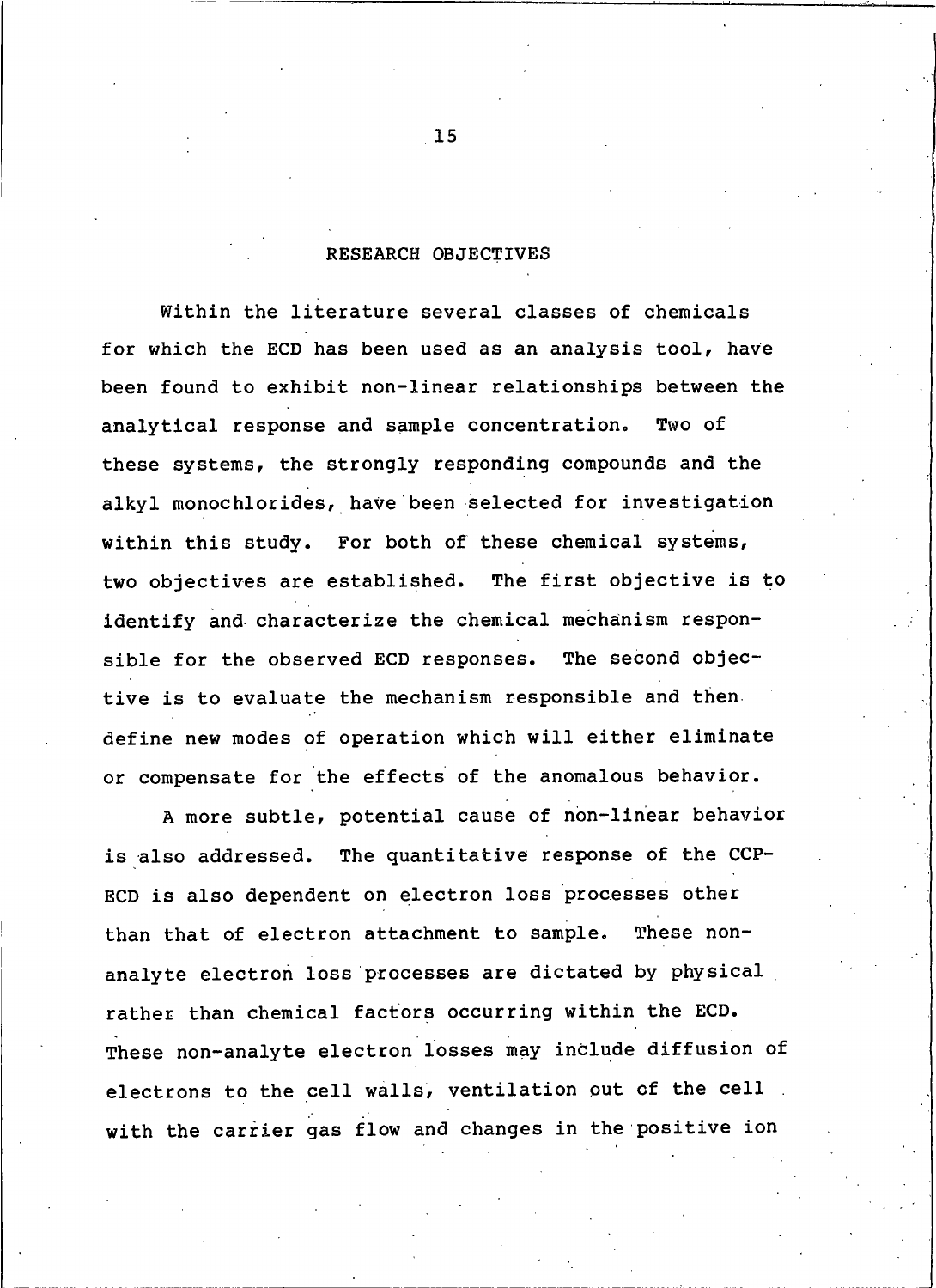## RESEARCH OBJECTIVES

<span id="page-29-0"></span>Within the literature several classes of chemicals for which the ECD has been used as an analysis tool, have been found to exhibit non-linear relationships between the analytical response and sample concentration. Two of these systems, the strongly responding compounds and the alkyl monochlorides, have been selected for investigation within this study. For both of these chemical systems, two objectives are established. The first objective is to identify and characterize the chemical mechanism responsible for the observed ECD responses. The second objective is to evaluate the mechanism responsible and then. define new modes of operation which will either eliminate or compensate for the effects of the anomalous behavior.

A more subtle, potential cause of non-linear behavior is also addressed. The quantitative response of the CCP-ECD is also dependent on electron loss processes other than that of electron attachment to sample. These nonanalyte electron loss processes are dictated by physical rather than chemical factors occurring within the ECD. These non-analyte electron losses may include diffusion of electrons to the cell walls, ventilation out of the cell with the carrier gas flow and changes in the positive ion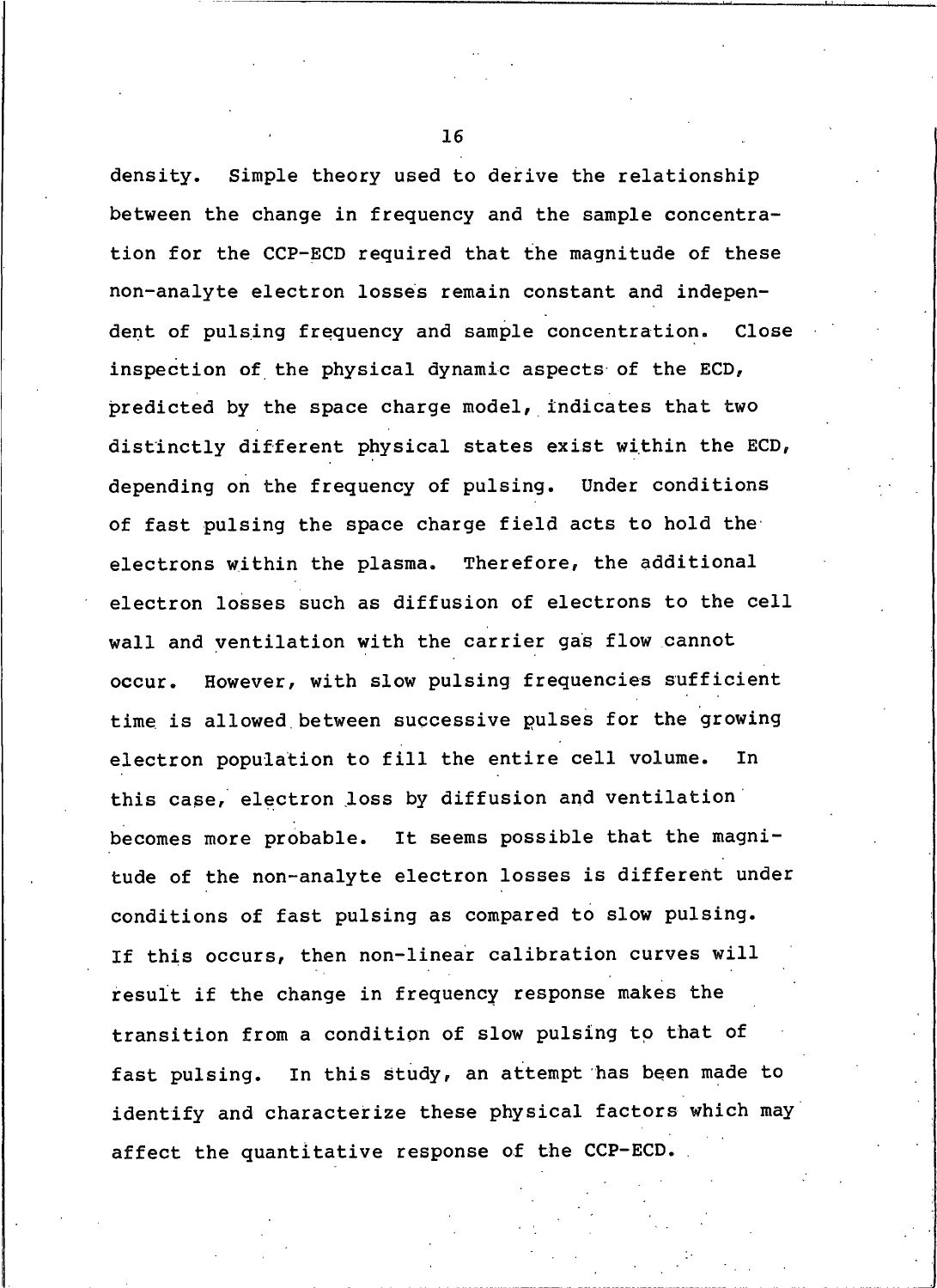Simple theory used to derive the relationship density. between the change in frequency and the sample concentration for the CCP-ECD required that the magnitude of these non-analyte electron losses remain constant and independent of pulsing frequency and sample concentration. Close inspection of the physical dynamic aspects of the ECD, predicted by the space charge model, indicates that two distinctly different physical states exist within the ECD, depending on the frequency of pulsing. Under conditions of fast pulsing the space charge field acts to hold the electrons within the plasma. Therefore, the additional electron losses such as diffusion of electrons to the cell wall and ventilation with the carrier gas flow cannot However, with slow pulsing frequencies sufficient occur. time is allowed between successive pulses for the growing electron population to fill the entire cell volume. In this case, electron loss by diffusion and ventilation becomes more probable. It seems possible that the magnitude of the non-analyte electron losses is different under conditions of fast pulsing as compared to slow pulsing. If this occurs, then non-linear calibration curves will result if the change in frequency response makes the transition from a condition of slow pulsing to that of In this study, an attempt has been made to fast pulsing. identify and characterize these physical factors which may affect the quantitative response of the CCP-ECD.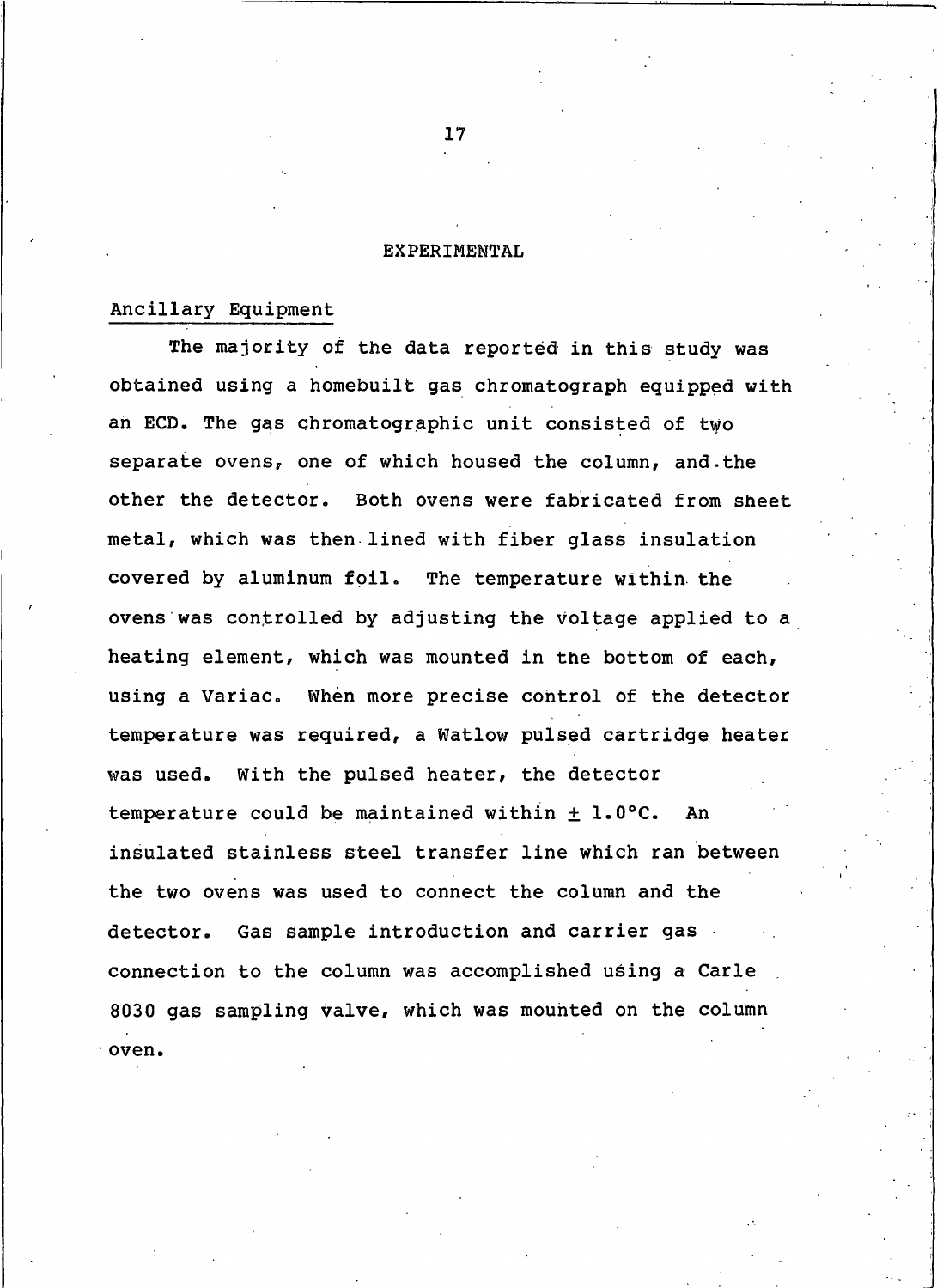## <span id="page-31-0"></span>**EXPERIMENTAL**

## Ancillary Equipment

The majority of the data reported in this study was obtained using a homebuilt gas chromatograph equipped with an ECD. The gas chromatographic unit consisted of two separate ovens, one of which housed the column, and the other the detector. Both ovens were fabricated from sheet metal, which was then lined with fiber glass insulation covered by aluminum foil. The temperature within the ovens was controlled by adjusting the voltage applied to a heating element, which was mounted in the bottom of each, using a Variac. When more precise control of the detector temperature was required, a Watlow pulsed cartridge heater was used. With the pulsed heater, the detector temperature could be maintained within  $\pm$  1.0°C. An insulated stainless steel transfer line which ran between the two ovens was used to connect the column and the Gas sample introduction and carrier gas detector. connection to the column was accomplished using a Carle 8030 gas sampling valve, which was mounted on the column oven.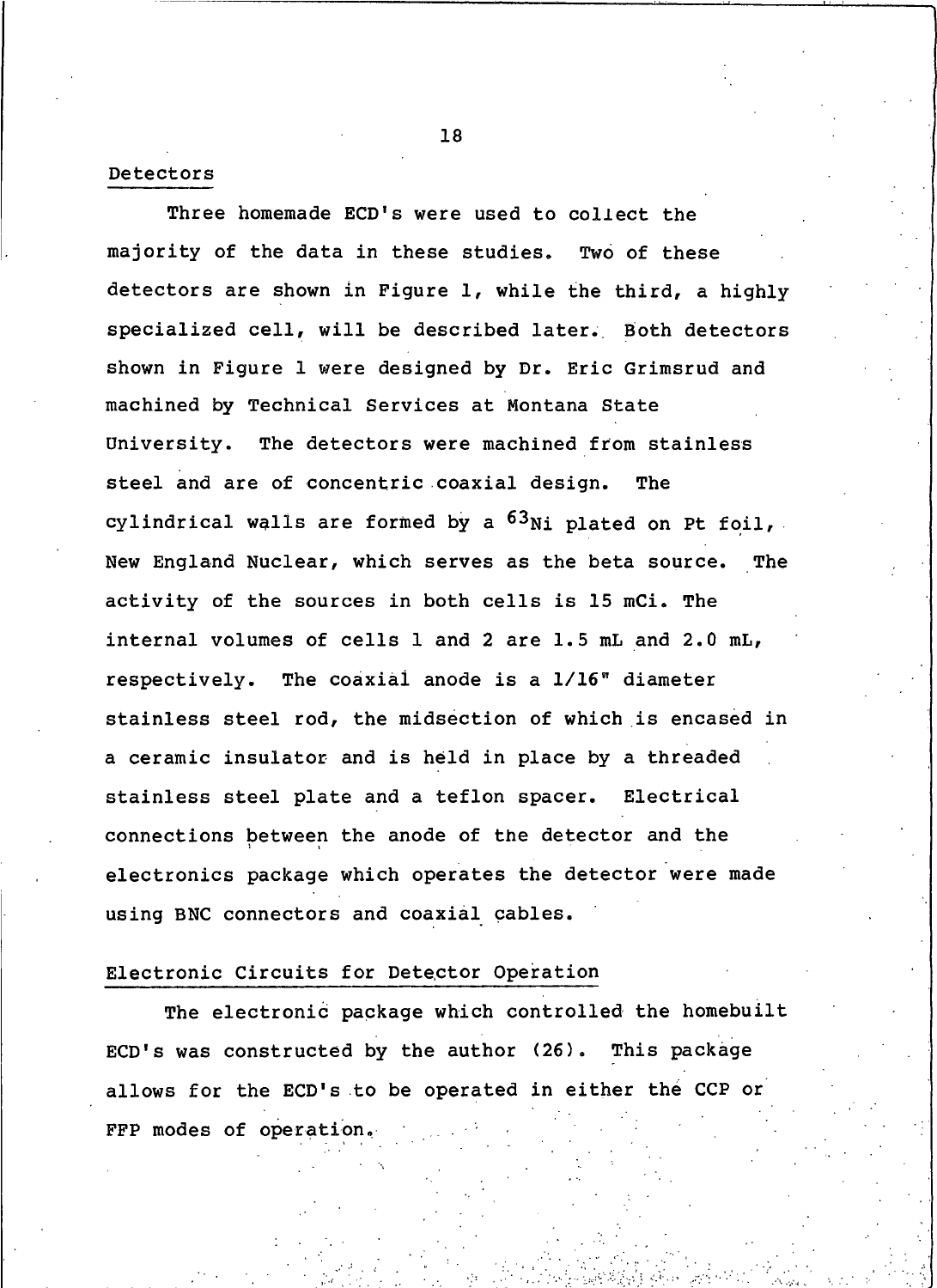## Detectors

Three homemade ECD's were used to collect the majority of the data in these studies. Two of these detectors are shown in Figure 1, while the third, a highly specialized cell, will be described later. Both detectors shown in Figure 1 were designed by Dr. Eric Grimsrud and machined by Technical Services at Montana State University. The detectors were machined from stainless steel and are of concentric coaxial design. **The** cylindrical walls are formed by a  $^{63}$ Ni plated on Pt foil, New England Nuclear, which serves as the beta source. The activity of the sources in both cells is 15 mCi. The internal volumes of cells 1 and 2 are 1.5 mL and 2.0 mL, respectively. The coaxial anode is a 1/16" diameter stainless steel rod, the midsection of which is encased in a ceramic insulator and is held in place by a threaded stainless steel plate and a teflon spacer. Electrical connections between the anode of the detector and the electronics package which operates the detector were made using BNC connectors and coaxial cables.

## Electronic Circuits for Detector Operation

The electronic package which controlled the homebuilt ECD's was constructed by the author (26). This package allows for the ECD's to be operated in either the CCP or FFP modes of operation.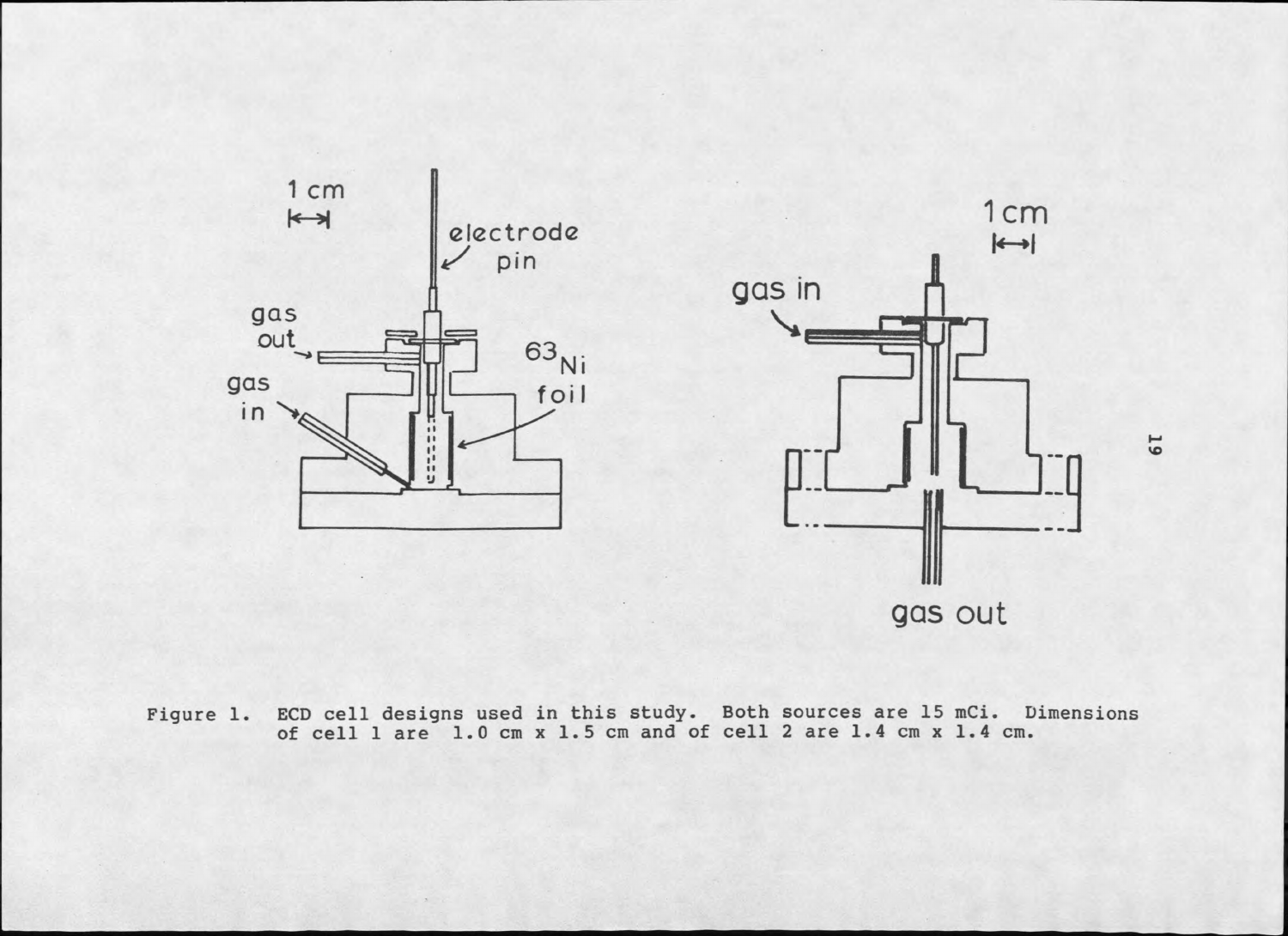

Figure 1. ECD cell designs used in this study. Both sources are 15 mCi. Dimensions of cell 1 are 1.0 cm x 1.5 cm and of cell 2 are 1.4 cm x 1.4 cm.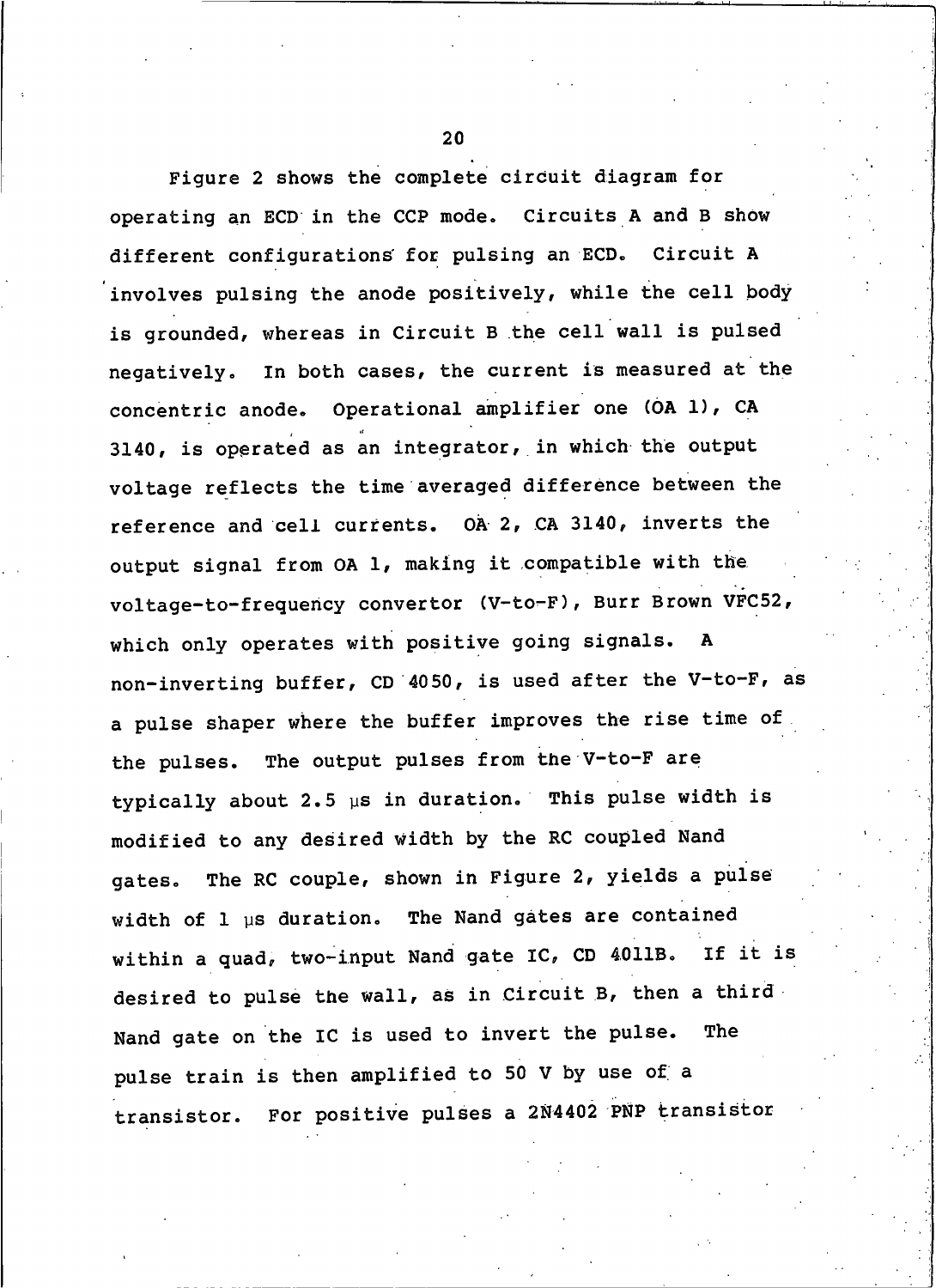Figure 2 shows the complete circuit diagram for operating an ECD in the CCP mode. Circuits A and B show different configurations for pulsing an ECD. Circuit A involves pulsing the anode positively, while the cell body is grounded, whereas in Circuit B the cell wall is pulsed negatively. In both cases, the current is measured at the concentric anode. Operational amplifier one (OA 1), CA 3140, is operated as an integrator, in which the output voltage reflects the time averaged difference between the reference and cell currents. OA 2, CA 3140, inverts the output signal from OA 1, making it compatible with the voltage-to-frequency convertor (V-to-F), Burr Brown VFC52, which only operates with positive going signals.  $\mathbf{A}$ non-inverting buffer, CD 4050, is used after the V-to-F, as a pulse shaper where the buffer improves the rise time of the pulses. The output pulses from the V-to-F are typically about 2.5  $\mu$ s in duration. This pulse width is modified to any desired width by the RC coupled Nand The RC couple, shown in Figure 2, yields a pulse aates. width of 1 us duration. The Nand gates are contained within a quad, two-input Nand gate IC, CD 4011B. If it is desired to pulse the wall, as in Circuit B, then a third Nand gate on the IC is used to invert the pulse. The pulse train is then amplified to 50 V by use of a transistor. For positive pulses a 2N4402 PNP transistor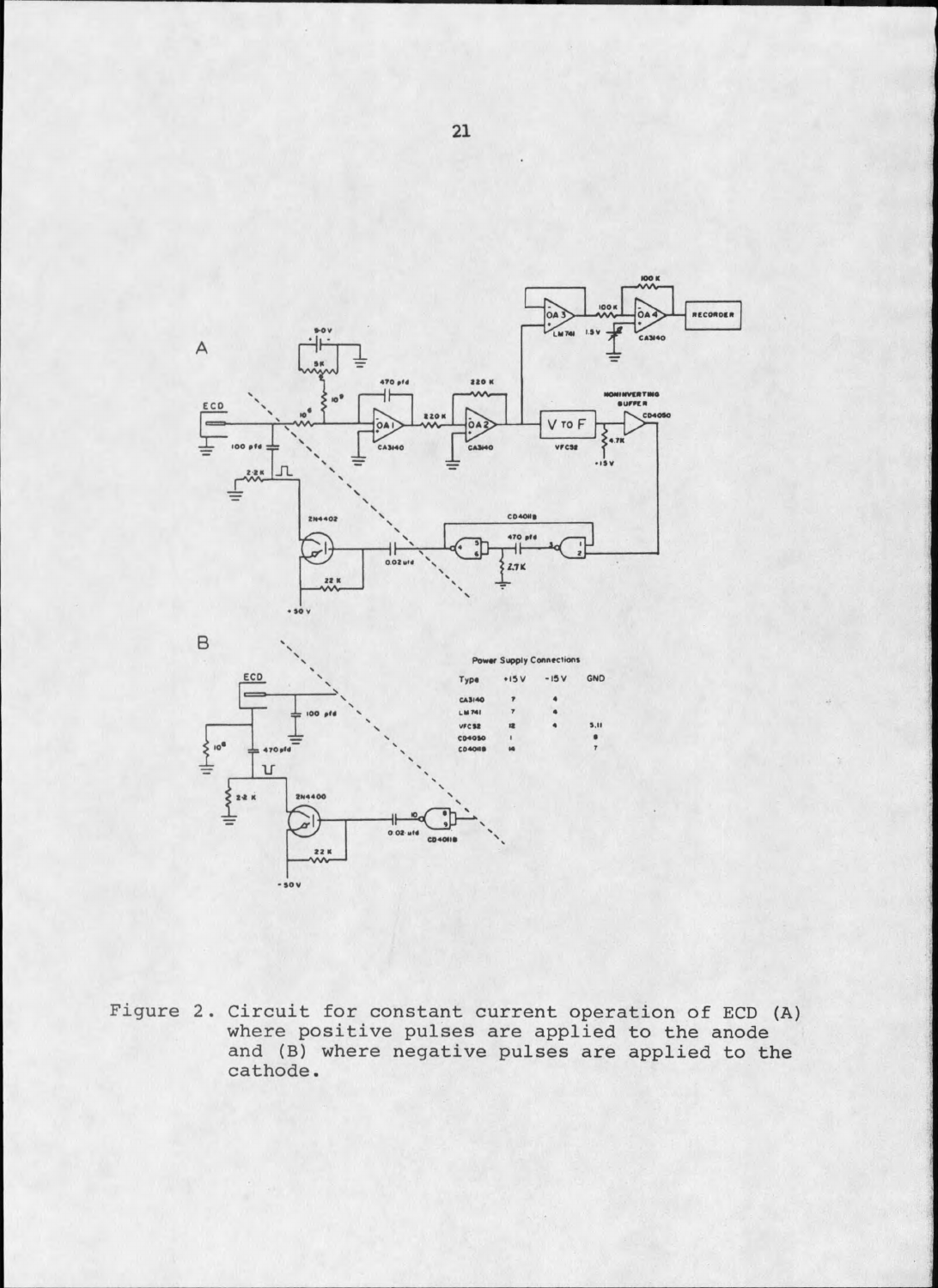



Figure 2. Circuit for constant current operation of ECD (A)<br>where positive pulses are applied to the anode and (B) where negative pulses are applied to the cathode.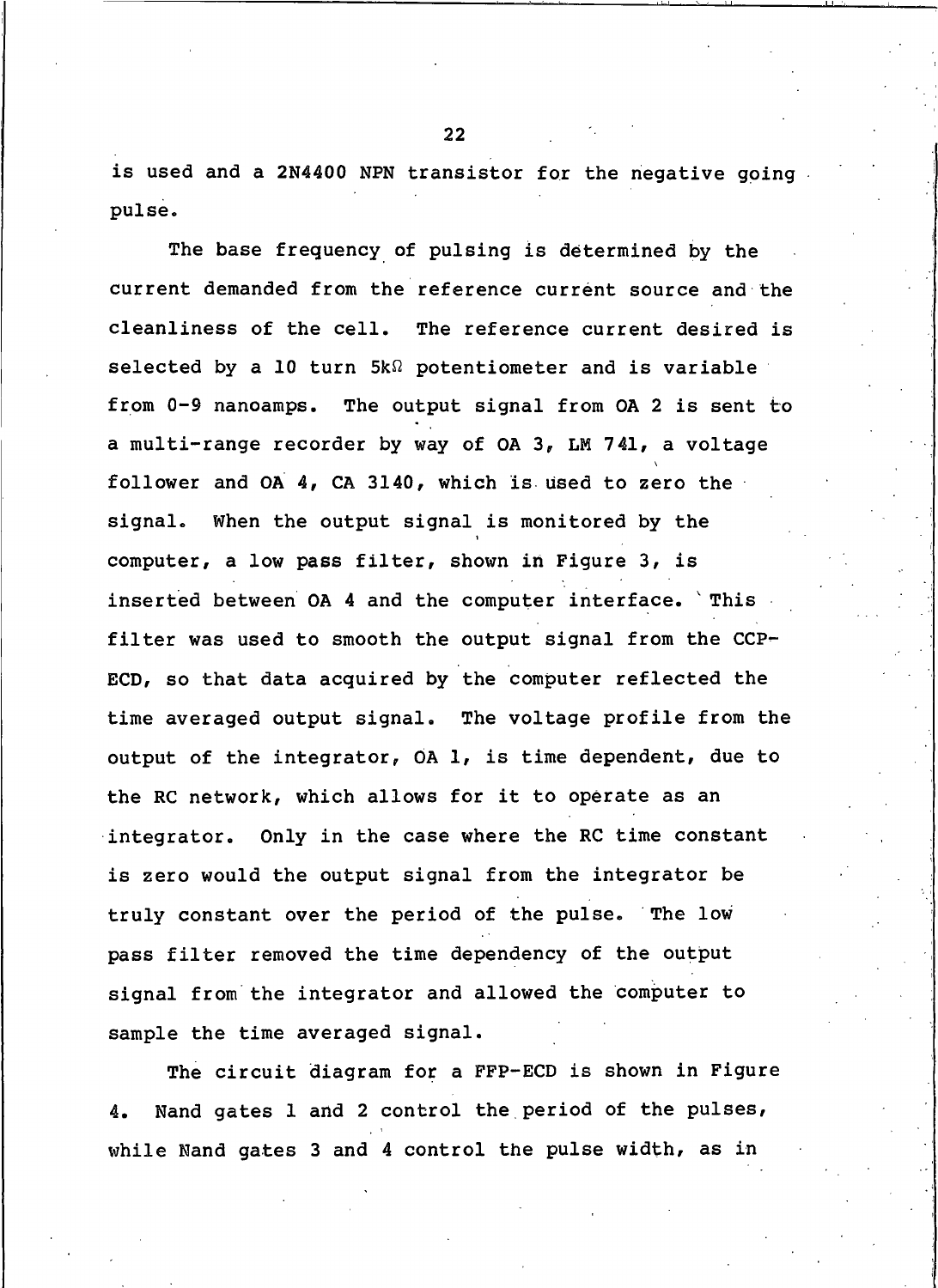is used and a 2N4400 NPN transistor for the negative going. pulse.

The base frequency of pulsing is determined by the current demanded from the reference current source and the cleanliness of the cell. The reference current desired is selected by a 10 turn  $5k\Omega$  potentiometer and is variable from 0-9 nanoamps. The output signal from OA 2 is sent to a multi-range recorder by way of OA 3, LM 741, a voltage follower and OA 4, CA 3140, which is used to zero the When the output signal is monitored by the signal. computer, a low pass filter, shown in Figure 3, is inserted between OA 4 and the computer interface. This filter was used to smooth the output signal from the CCP-ECD, so that data acquired by the computer reflected the time averaged output signal. The voltage profile from the output of the integrator, OA 1, is time dependent, due to the RC network, which allows for it to operate as an integrator. Only in the case where the RC time constant is zero would the output signal from the integrator be truly constant over the period of the pulse. The low pass filter removed the time dependency of the output signal from the integrator and allowed the computer to sample the time averaged signal.

The circuit diagram for a FFP-ECD is shown in Figure Nand gates 1 and 2 control the period of the pulses, 4. while Nand gates 3 and 4 control the pulse width, as in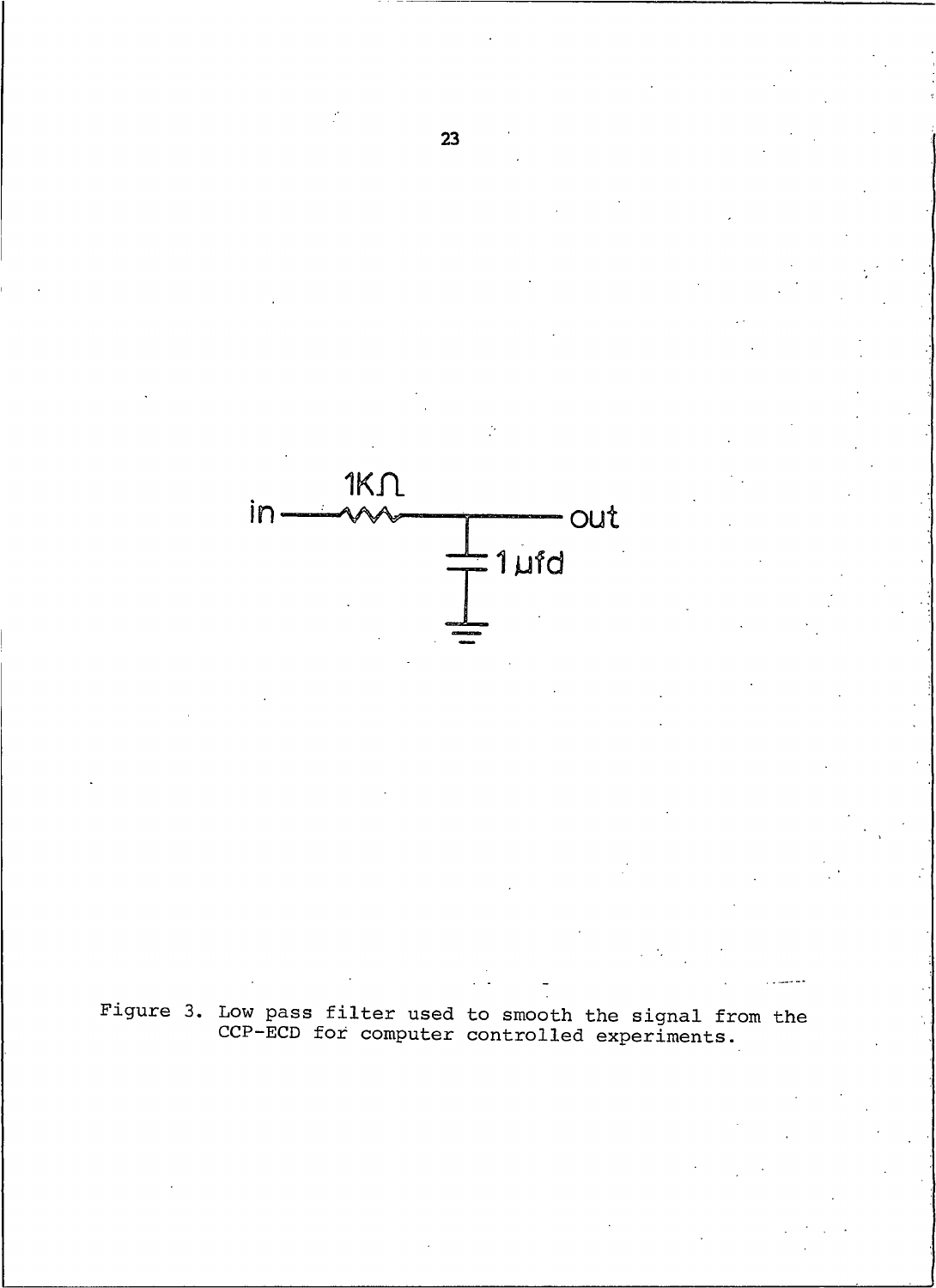

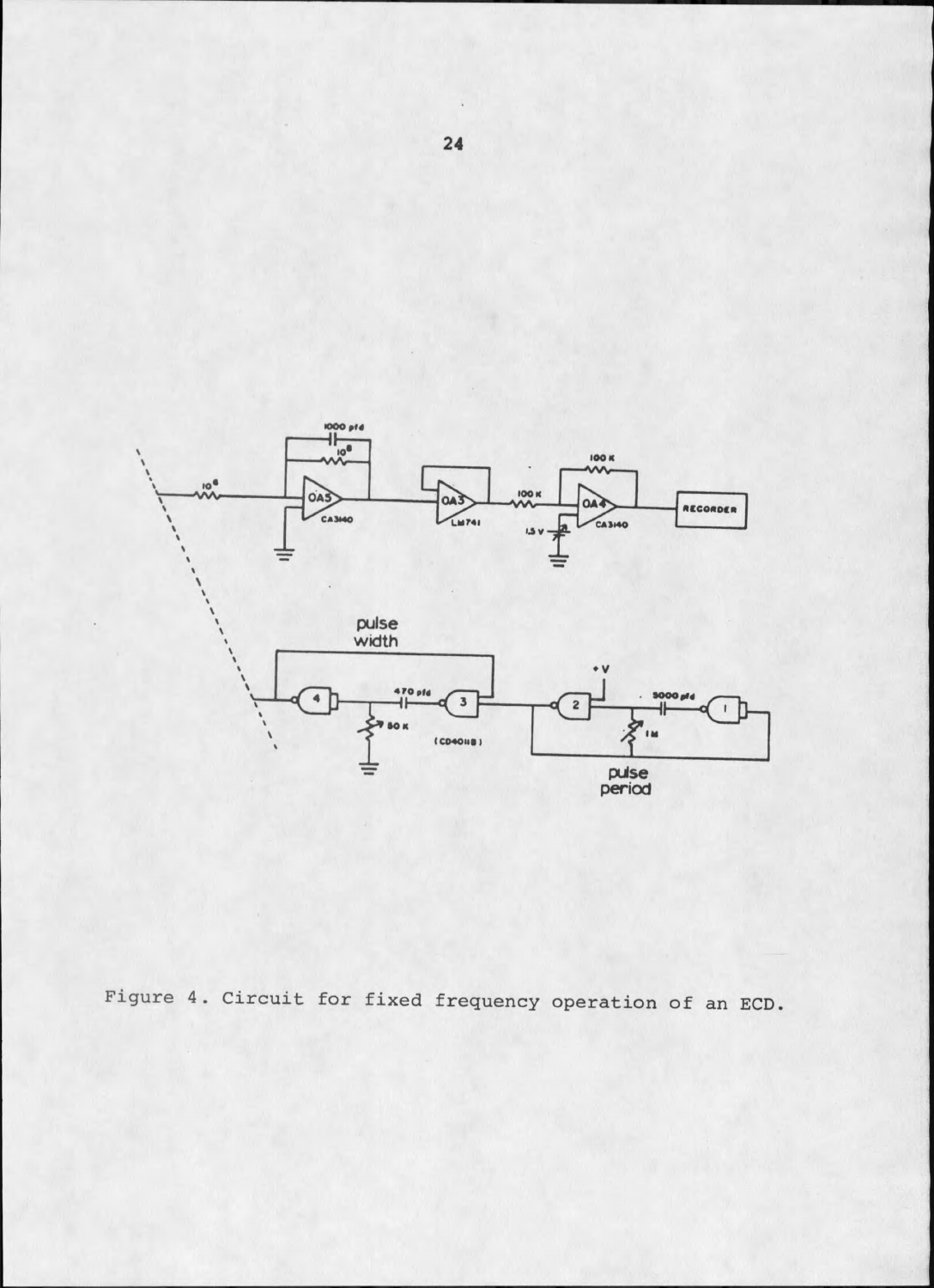

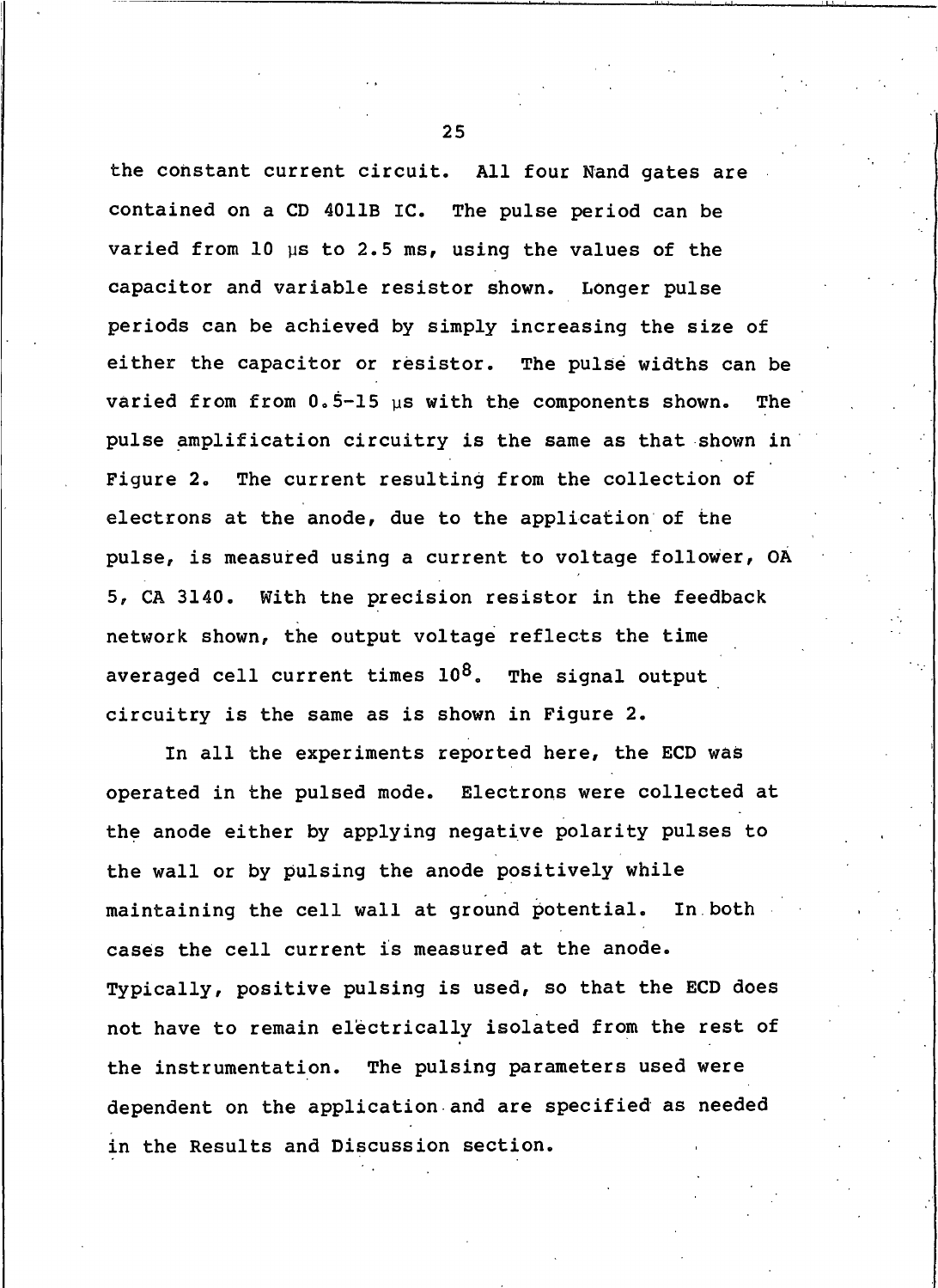the constant current circuit. All four Nand gates are contained on a CD 4011B IC. The pulse period can be varied from 10 us to 2.5 ms, using the values of the capacitor and variable resistor shown. Longer pulse periods can be achieved by simply increasing the size of either the capacitor or resistor. The pulse widths can be varied from from  $0.5-15$  us with the components shown. The pulse amplification circuitry is the same as that shown in The current resulting from the collection of Fiqure 2. electrons at the anode, due to the application of the pulse, is measured using a current to voltage follower, OA 5, CA 3140. With the precision resistor in the feedback network shown, the output voltage reflects the time averaged cell current times  $10^8$ . The signal output circuitry is the same as is shown in Figure 2.

In all the experiments reported here, the ECD was operated in the pulsed mode. Electrons were collected at the anode either by applying negative polarity pulses to the wall or by pulsing the anode positively while maintaining the cell wall at ground potential. In both cases the cell current is measured at the anode. Typically, positive pulsing is used, so that the ECD does not have to remain electrically isolated from the rest of the instrumentation. The pulsing parameters used were dependent on the application and are specified as needed in the Results and Discussion section.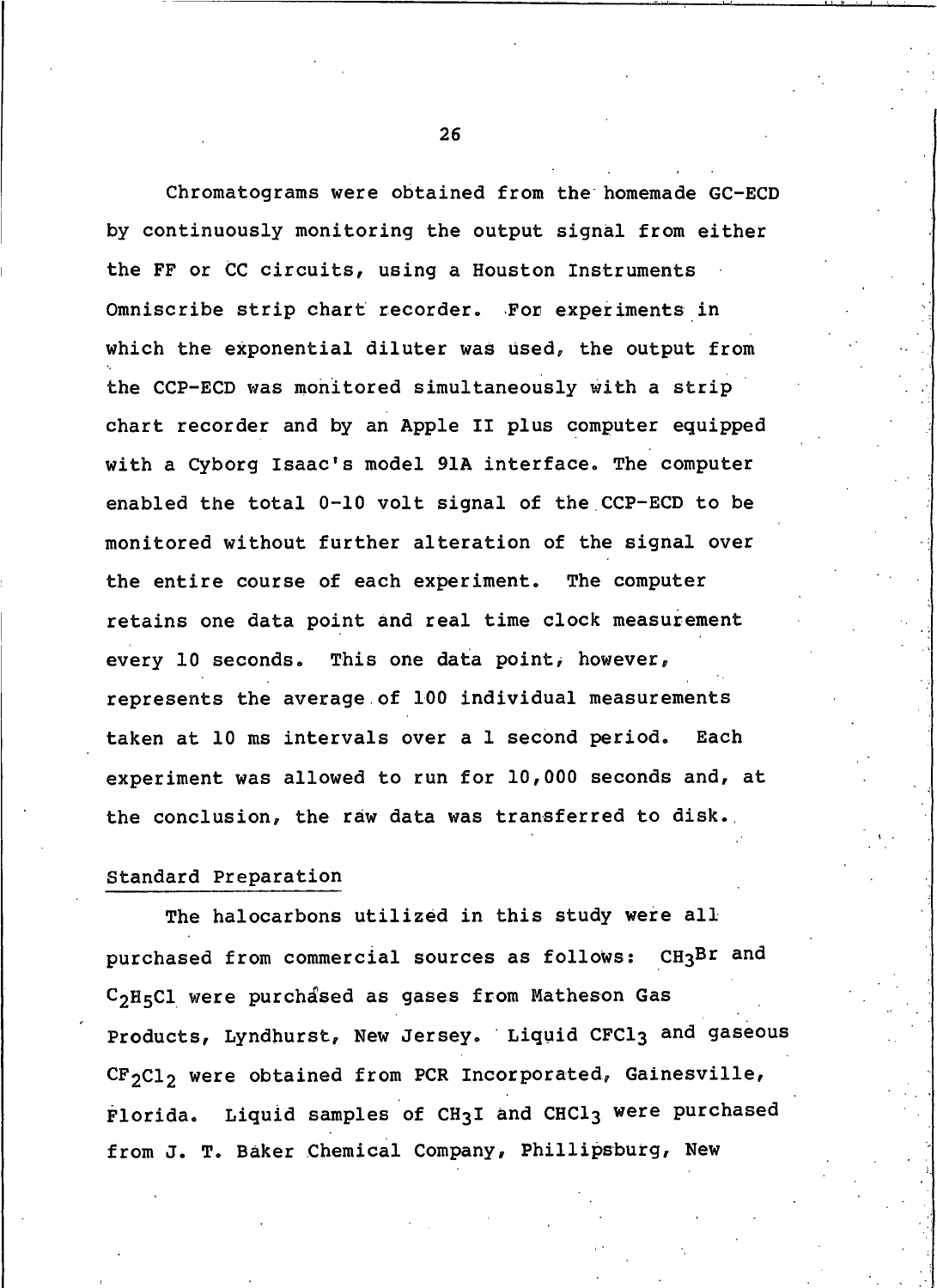Chromatograms were obtained from the homemade GC-ECD by continuously monitoring the output signal from either the FF or CC circuits, using a Houston Instruments Omniscribe strip chart recorder. For experiments in which the exponential diluter was used, the output from the CCP-ECD was monitored simultaneously with a strip chart recorder and by an Apple II plus computer equipped with a Cyborg Isaac's model 91A interface. The computer enabled the total 0-10 volt signal of the CCP-ECD to be monitored without further alteration of the signal over the entire course of each experiment. The computer retains one data point and real time clock measurement This one data point, however, every 10 seconds. represents the average of 100 individual measurements taken at 10 ms intervals over a 1 second period. Each experiment was allowed to run for 10,000 seconds and, at the conclusion, the raw data was transferred to disk.

## Standard Preparation

The halocarbons utilized in this study were all purchased from commercial sources as follows: CH3Br and C<sub>2</sub>H<sub>5</sub>Cl were purchased as gases from Matheson Gas Products, Lyndhurst, New Jersey. Liquid CFCl3 and gaseous  $CF_2Cl_2$  were obtained from PCR Incorporated, Gainesville, Florida. Liquid samples of CH3I and CHCl3 were purchased from J. T. Baker Chemical Company, Phillipsburg, New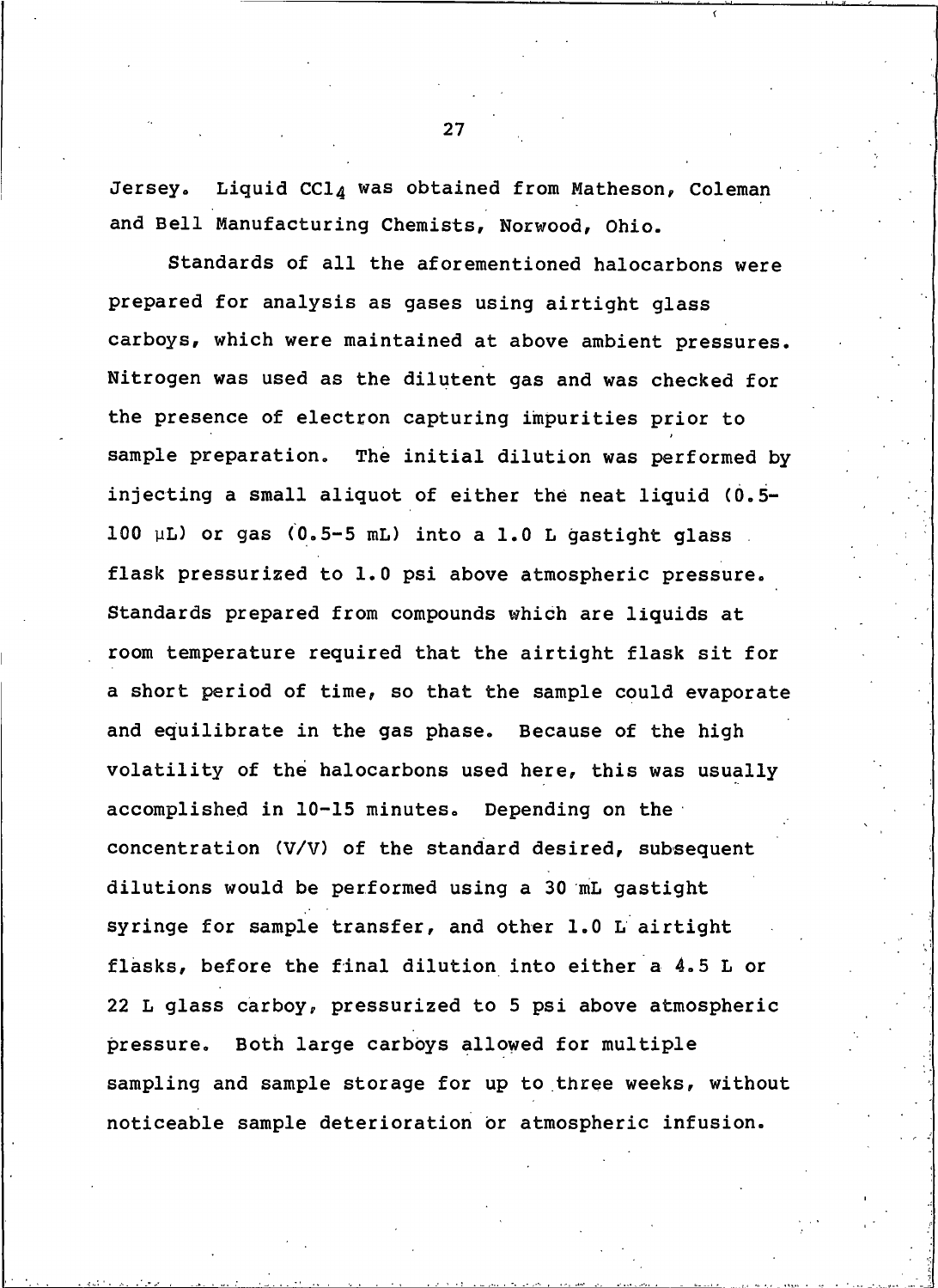Jersey. Liquid CCl<sub>A</sub> was obtained from Matheson, Coleman and Bell Manufacturing Chemists, Norwood, Ohio.

Standards of all the aforementioned halocarbons were prepared for analysis as gases using airtight glass carboys, which were maintained at above ambient pressures. Nitrogen was used as the dilutent gas and was checked for the presence of electron capturing impurities prior to sample preparation. The initial dilution was performed by injecting a small aliquot of either the neat liquid (0.5-100 µL) or gas (0.5-5 mL) into a 1.0 L gastight glass. flask pressurized to 1.0 psi above atmospheric pressure. Standards prepared from compounds which are liquids at room temperature required that the airtight flask sit for a short period of time, so that the sample could evaporate and equilibrate in the gas phase. Because of the high volatility of the halocarbons used here, this was usually accomplished in 10-15 minutes. Depending on the concentration (V/V) of the standard desired, subsequent dilutions would be performed using a 30 mL gastight syringe for sample transfer, and other 1.0 L airtight flasks, before the final dilution into either a 4.5 L or 22 L glass carboy, pressurized to 5 psi above atmospheric Both large carboys allowed for multiple pressure. sampling and sample storage for up to three weeks, without noticeable sample deterioration or atmospheric infusion.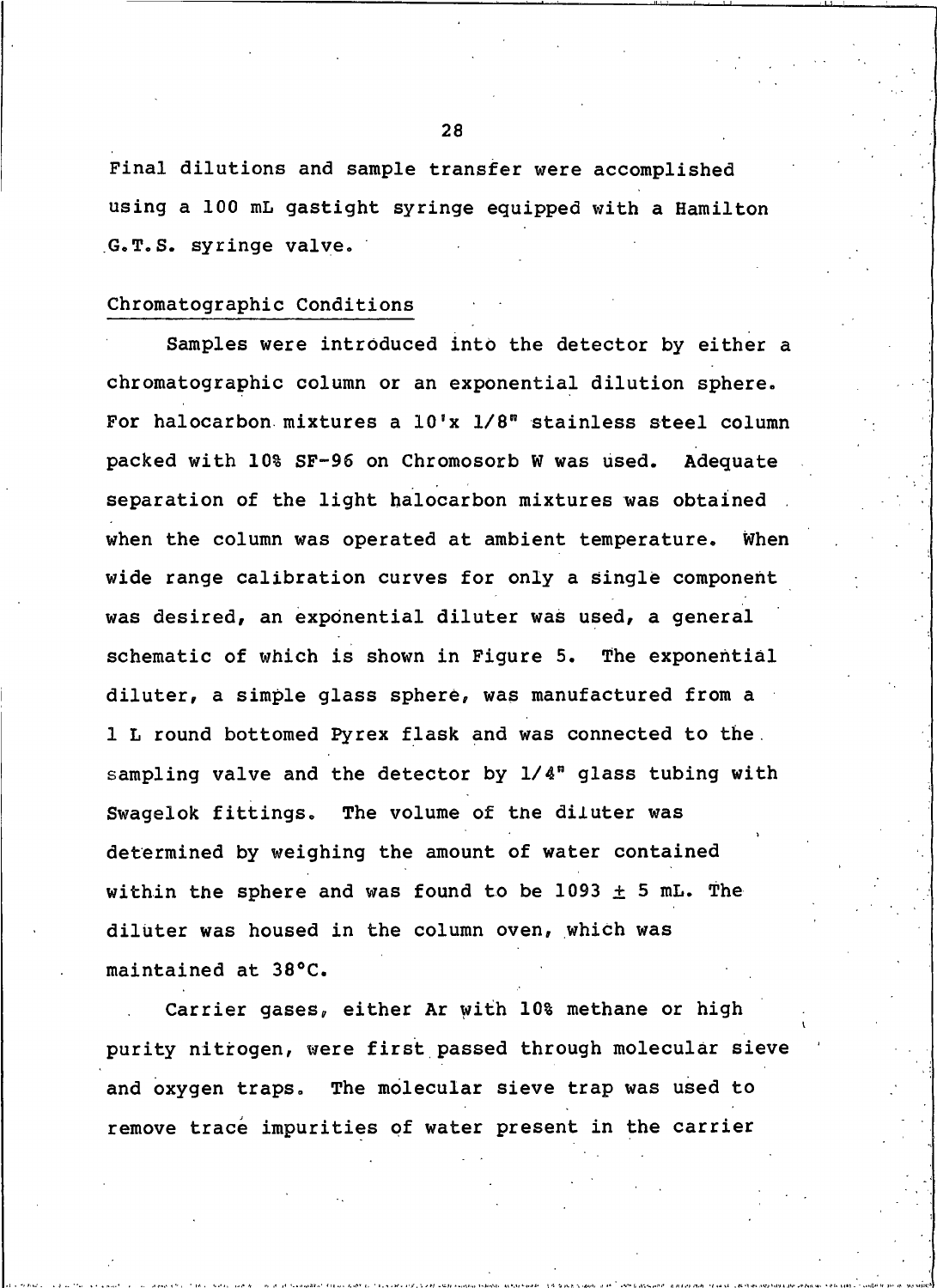Final dilutions and sample transfer were accomplished using a 100 mL gastight syringe equipped with a Hamilton G.T.S. syringe valve.

## Chromatographic Conditions

Samples were introduced into the detector by either a chromatographic column or an exponential dilution sphere. For halocarbon mixtures a 10'x 1/8" stainless steel column packed with 10% SF-96 on Chromosorb W was used. Adequate separation of the light halocarbon mixtures was obtained when the column was operated at ambient temperature. When wide range calibration curves for only a single component was desired, an exponential diluter was used, a general schematic of which is shown in Fiqure 5. The exponential diluter, a simple glass sphere, was manufactured from a 1 L round bottomed Pyrex flask and was connected to the. sampling valve and the detector by 1/4" glass tubing with Swagelok fittings. The volume of the diluter was determined by weighing the amount of water contained within the sphere and was found to be 1093  $\pm$  5 mL. The diluter was housed in the column oven, which was maintained at 38°C.

Carrier gases, either Ar with 10% methane or high purity nitrogen, were first passed through molecular sieve and oxygen traps. The molecular sieve trap was used to remove trace impurities of water present in the carrier